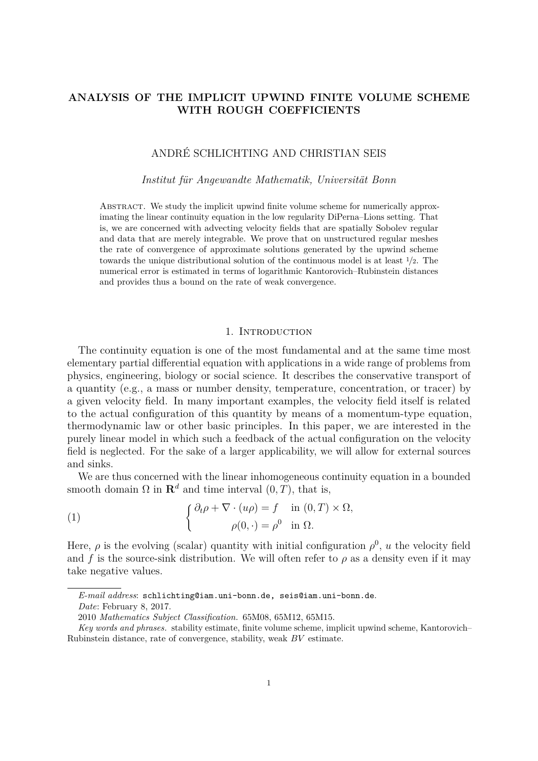# **ANALYSIS OF THE IMPLICIT UPWIND FINITE VOLUME SCHEME WITH ROUGH COEFFICIENTS**

# ANDRÉ SCHLICHTING AND CHRISTIAN SEIS

#### *Institut für Angewandte Mathematik, Universität Bonn*

Abstract. We study the implicit upwind finite volume scheme for numerically approximating the linear continuity equation in the low regularity DiPerna–Lions setting. That is, we are concerned with advecting velocity fields that are spatially Sobolev regular and data that are merely integrable. We prove that on unstructured regular meshes the rate of convergence of approximate solutions generated by the upwind scheme towards the unique distributional solution of the continuous model is at least <sup>1</sup>*/*2. The numerical error is estimated in terms of logarithmic Kantorovich–Rubinstein distances and provides thus a bound on the rate of weak convergence.

## 1. INTRODUCTION

The continuity equation is one of the most fundamental and at the same time most elementary partial differential equation with applications in a wide range of problems from physics, engineering, biology or social science. It describes the conservative transport of a quantity (e.g., a mass or number density, temperature, concentration, or tracer) by a given velocity field. In many important examples, the velocity field itself is related to the actual configuration of this quantity by means of a momentum-type equation, thermodynamic law or other basic principles. In this paper, we are interested in the purely linear model in which such a feedback of the actual configuration on the velocity field is neglected. For the sake of a larger applicability, we will allow for external sources and sinks.

We are thus concerned with the linear inhomogeneous continuity equation in a bounded smooth domain  $\Omega$  in  $\mathbf{R}^d$  and time interval  $(0, T)$ , that is,

<span id="page-0-0"></span>(1) 
$$
\begin{cases} \partial_t \rho + \nabla \cdot (u\rho) = f & \text{in } (0, T) \times \Omega, \\ \rho(0, \cdot) = \rho^0 & \text{in } \Omega. \end{cases}
$$

Here,  $\rho$  is the evolving (scalar) quantity with initial configuration  $\rho^0$ , *u* the velocity field and *f* is the source-sink distribution. We will often refer to  $\rho$  as a density even if it may take negative values.

*E-mail address*: schlichting@iam.uni-bonn.de, seis@iam.uni-bonn.de. *Date*: February 8, 2017.

<sup>2010</sup> *Mathematics Subject Classification.* 65M08, 65M12, 65M15.

*Key words and phrases.* stability estimate, finite volume scheme, implicit upwind scheme, Kantorovich– Rubinstein distance, rate of convergence, stability, weak *BV* estimate.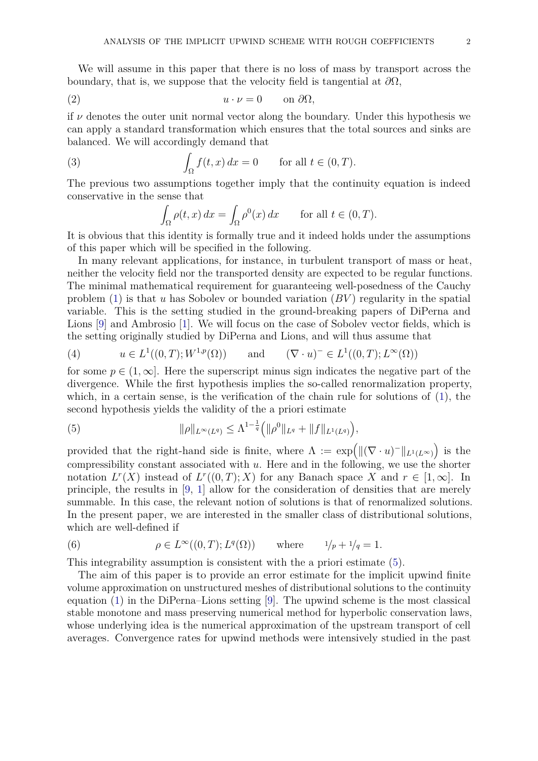We will assume in this paper that there is no loss of mass by transport across the boundary, that is, we suppose that the velocity field is tangential at  $\partial\Omega$ ,

$$
(2) \t\t\t u \cdot \nu = 0 \t on \partial \Omega,
$$

if  $\nu$  denotes the outer unit normal vector along the boundary. Under this hypothesis we can apply a standard transformation which ensures that the total sources and sinks are balanced. We will accordingly demand that

(3) 
$$
\int_{\Omega} f(t, x) dx = 0 \quad \text{for all } t \in (0, T).
$$

The previous two assumptions together imply that the continuity equation is indeed conservative in the sense that

<span id="page-1-4"></span><span id="page-1-3"></span>
$$
\int_{\Omega} \rho(t, x) dx = \int_{\Omega} \rho^{0}(x) dx \quad \text{for all } t \in (0, T).
$$

It is obvious that this identity is formally true and it indeed holds under the assumptions of this paper which will be specified in the following.

In many relevant applications, for instance, in turbulent transport of mass or heat, neither the velocity field nor the transported density are expected to be regular functions. The minimal mathematical requirement for guaranteeing well-posedness of the Cauchy problem [\(1\)](#page-0-0) is that *u* has Sobolev or bounded variation (*BV* ) regularity in the spatial variable. This is the setting studied in the ground-breaking papers of DiPerna and Lions [\[9\]](#page-25-0) and Ambrosio [\[1\]](#page-25-1). We will focus on the case of Sobolev vector fields, which is the setting originally studied by DiPerna and Lions, and will thus assume that

<span id="page-1-2"></span>(4) 
$$
u \in L^1((0,T); W^{1,p}(\Omega))
$$
 and  $(\nabla \cdot u)^- \in L^1((0,T); L^{\infty}(\Omega))$ 

for some  $p \in (1,\infty]$ . Here the superscript minus sign indicates the negative part of the divergence. While the first hypothesis implies the so-called renormalization property, which, in a certain sense, is the verification of the chain rule for solutions of [\(1\)](#page-0-0), the second hypothesis yields the validity of the a priori estimate

<span id="page-1-0"></span>(5) 
$$
\|\rho\|_{L^{\infty}(L^q)} \leq \Lambda^{1-\frac{1}{q}}\left(\|\rho^0\|_{L^q} + \|f\|_{L^1(L^q)}\right),
$$

provided that the right-hand side is finite, where  $\Lambda := \exp\left(\|(\nabla \cdot u)^-\|_{L^1(L^{\infty})}\right)$  is the compressibility constant associated with *u*. Here and in the following, we use the shorter notation  $L^r(X)$  instead of  $L^r((0,T);X)$  for any Banach space *X* and  $r \in [1,\infty]$ . In principle, the results in [\[9,](#page-25-0) [1\]](#page-25-1) allow for the consideration of densities that are merely summable. In this case, the relevant notion of solutions is that of renormalized solutions. In the present paper, we are interested in the smaller class of distributional solutions, which are well-defined if

<span id="page-1-1"></span>(6) 
$$
\rho \in L^{\infty}((0,T); L^{q}(\Omega))
$$
 where  $1/p + 1/q = 1$ .

This integrability assumption is consistent with the a priori estimate [\(5\)](#page-1-0).

The aim of this paper is to provide an error estimate for the implicit upwind finite volume approximation on unstructured meshes of distributional solutions to the continuity equation [\(1\)](#page-0-0) in the DiPerna–Lions setting [\[9\]](#page-25-0). The upwind scheme is the most classical stable monotone and mass preserving numerical method for hyperbolic conservation laws, whose underlying idea is the numerical approximation of the upstream transport of cell averages. Convergence rates for upwind methods were intensively studied in the past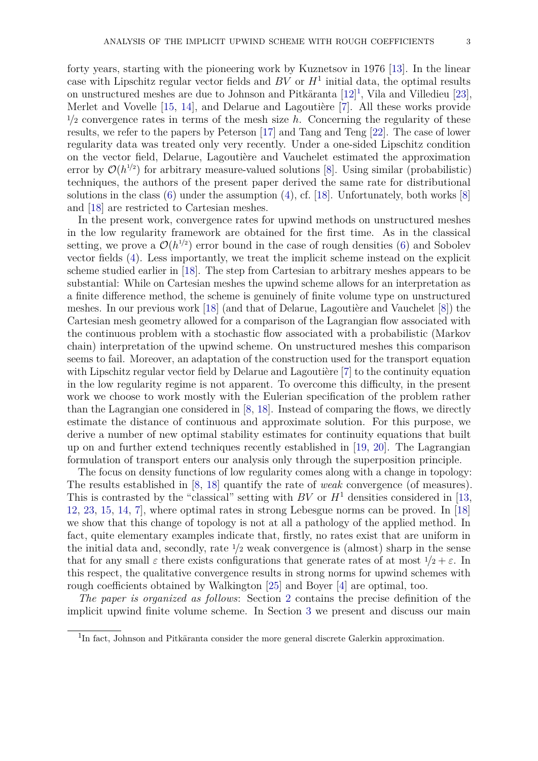forty years, starting with the pioneering work by Kuznetsov in 1976 [\[13\]](#page-26-0). In the linear case with Lipschitz regular vector fields and  $BV$  or  $H<sup>1</sup>$  initial data, the optimal results on unstructured meshes are due to Johnson and Pitkäranta [\[12\]](#page-25-2) [1](#page-2-0) , Vila and Villedieu [\[23\]](#page-26-1), Merlet and Vovelle [\[15,](#page-26-2) [14\]](#page-26-3), and Delarue and Lagoutière [\[7\]](#page-25-3). All these works provide  $\frac{1}{2}$  convergence rates in terms of the mesh size *h*. Concerning the regularity of these results, we refer to the papers by Peterson [\[17\]](#page-26-4) and Tang and Teng [\[22\]](#page-26-5). The case of lower regularity data was treated only very recently. Under a one-sided Lipschitz condition on the vector field, Delarue, Lagoutière and Vauchelet estimated the approximation error by  $\mathcal{O}(h^{1/2})$  for arbitrary measure-valued solutions [\[8\]](#page-25-4). Using similar (probabilistic) techniques, the authors of the present paper derived the same rate for distributional solutions in the class  $(6)$  under the assumption  $(4)$ , cf. [\[18\]](#page-26-6). Unfortunately, both works [\[8\]](#page-25-4) and [\[18\]](#page-26-6) are restricted to Cartesian meshes.

In the present work, convergence rates for upwind methods on unstructured meshes in the low regularity framework are obtained for the first time. As in the classical setting, we prove a  $\mathcal{O}(h^{1/2})$  error bound in the case of rough densities [\(6\)](#page-1-1) and Sobolev vector fields [\(4\)](#page-1-2). Less importantly, we treat the implicit scheme instead on the explicit scheme studied earlier in [\[18\]](#page-26-6). The step from Cartesian to arbitrary meshes appears to be substantial: While on Cartesian meshes the upwind scheme allows for an interpretation as a finite difference method, the scheme is genuinely of finite volume type on unstructured meshes. In our previous work [\[18\]](#page-26-6) (and that of Delarue, Lagoutière and Vauchelet [\[8\]](#page-25-4)) the Cartesian mesh geometry allowed for a comparison of the Lagrangian flow associated with the continuous problem with a stochastic flow associated with a probabilistic (Markov chain) interpretation of the upwind scheme. On unstructured meshes this comparison seems to fail. Moreover, an adaptation of the construction used for the transport equation with Lipschitz regular vector field by Delarue and Lagoutière [\[7\]](#page-25-3) to the continuity equation in the low regularity regime is not apparent. To overcome this difficulty, in the present work we choose to work mostly with the Eulerian specification of the problem rather than the Lagrangian one considered in [\[8,](#page-25-4) [18\]](#page-26-6). Instead of comparing the flows, we directly estimate the distance of continuous and approximate solution. For this purpose, we derive a number of new optimal stability estimates for continuity equations that built up on and further extend techniques recently established in [\[19,](#page-26-7) [20\]](#page-26-8). The Lagrangian formulation of transport enters our analysis only through the superposition principle.

The focus on density functions of low regularity comes along with a change in topology: The results established in [\[8,](#page-25-4) [18\]](#page-26-6) quantify the rate of *weak* convergence (of measures). This is contrasted by the "classical" setting with *BV* or  $H<sup>1</sup>$  densities considered in [\[13,](#page-26-0) [12,](#page-25-2) [23,](#page-26-1) [15,](#page-26-2) [14,](#page-26-3) [7\]](#page-25-3), where optimal rates in strong Lebesgue norms can be proved. In [\[18\]](#page-26-6) we show that this change of topology is not at all a pathology of the applied method. In fact, quite elementary examples indicate that, firstly, no rates exist that are uniform in the initial data and, secondly, rate <sup>1</sup>*/*<sup>2</sup> weak convergence is (almost) sharp in the sense that for any small  $\varepsilon$  there exists configurations that generate rates of at most  $1/2 + \varepsilon$ . In this respect, the qualitative convergence results in strong norms for upwind schemes with rough coefficients obtained by Walkington [\[25\]](#page-26-9) and Boyer [\[4\]](#page-25-5) are optimal, too.

*The paper is organized as follows*: Section [2](#page-3-0) contains the precise definition of the implicit upwind finite volume scheme. In Section [3](#page-5-0) we present and discuss our main

<span id="page-2-0"></span><sup>&</sup>lt;sup>1</sup>In fact, Johnson and Pitkäranta consider the more general discrete Galerkin approximation.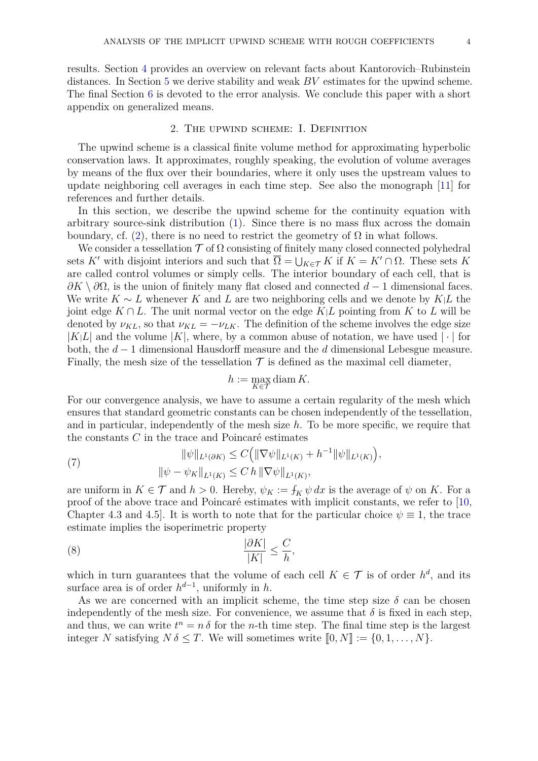results. Section [4](#page-6-0) provides an overview on relevant facts about Kantorovich–Rubinstein distances. In Section [5](#page-8-0) we derive stability and weak *BV* estimates for the upwind scheme. The final Section [6](#page-14-0) is devoted to the error analysis. We conclude this paper with a short appendix on generalized means.

#### 2. The upwind scheme: I. Definition

<span id="page-3-0"></span>The upwind scheme is a classical finite volume method for approximating hyperbolic conservation laws. It approximates, roughly speaking, the evolution of volume averages by means of the flux over their boundaries, where it only uses the upstream values to update neighboring cell averages in each time step. See also the monograph [\[11\]](#page-25-6) for references and further details.

In this section, we describe the upwind scheme for the continuity equation with arbitrary source-sink distribution [\(1\)](#page-0-0). Since there is no mass flux across the domain boundary, cf. [\(2\)](#page-1-3), there is no need to restrict the geometry of  $\Omega$  in what follows.

We consider a tessellation  $\mathcal T$  of  $\Omega$  consisting of finitely many closed connected polyhedral sets *K'* with disjoint interiors and such that  $\overline{\Omega} = \bigcup_{K \in \mathcal{T}} K$  if  $K = K' \cap \Omega$ . These sets *K* are called control volumes or simply cells. The interior boundary of each cell, that is *∂K* \ *∂*Ω, is the union of finitely many flat closed and connected *d* − 1 dimensional faces. We write *K* ∼ *L* whenever *K* and *L* are two neighboring cells and we denote by *K*|*L* the joint edge  $K \cap L$ . The unit normal vector on the edge  $K \mid L$  pointing from K to L will be denoted by  $\nu_{KL}$ , so that  $\nu_{KL} = -\nu_{LK}$ . The definition of the scheme involves the edge size  $|K|L|$  and the volume  $|K|$ , where, by a common abuse of notation, we have used  $|\cdot|$  for both, the *d* − 1 dimensional Hausdorff measure and the *d* dimensional Lebesgue measure. Finally, the mesh size of the tessellation  $\mathcal T$  is defined as the maximal cell diameter,

<span id="page-3-2"></span>
$$
h := \max_{K \in \mathcal{T}} \operatorname{diam} K.
$$

For our convergence analysis, we have to assume a certain regularity of the mesh which ensures that standard geometric constants can be chosen independently of the tessellation, and in particular, independently of the mesh size  $h$ . To be more specific, we require that the constants *C* in the trace and Poincaré estimates

<span id="page-3-1"></span>(7) 
$$
\|\psi\|_{L^1(\partial K)} \leq C \Big( \|\nabla \psi\|_{L^1(K)} + h^{-1} \|\psi\|_{L^1(K)} \Big),
$$

$$
\|\psi - \psi_K\|_{L^1(K)} \leq C \, h \, \|\nabla \psi\|_{L^1(K)},
$$

are uniform in  $K \in \mathcal{T}$  and  $h > 0$ . Hereby,  $\psi_K := \int_K \psi \, dx$  is the average of  $\psi$  on K. For a proof of the above trace and Poincaré estimates with implicit constants, we refer to [\[10,](#page-25-7) Chapter 4.3 and 4.5. It is worth to note that for the particular choice  $\psi \equiv 1$ , the trace estimate implies the isoperimetric property

$$
\frac{|\partial K|}{|K|} \le \frac{C}{h},
$$

which in turn guarantees that the volume of each cell  $K \in \mathcal{T}$  is of order  $h^d$ , and its surface area is of order  $h^{d-1}$ , uniformly in *h*.

As we are concerned with an implicit scheme, the time step size  $\delta$  can be chosen independently of the mesh size. For convenience, we assume that  $\delta$  is fixed in each step, and thus, we can write  $t^n = n \delta$  for the *n*-th time step. The final time step is the largest integer *N* satisfying  $N \delta \leq T$ . We will sometimes write  $[0, N] := \{0, 1, \ldots, N\}$ .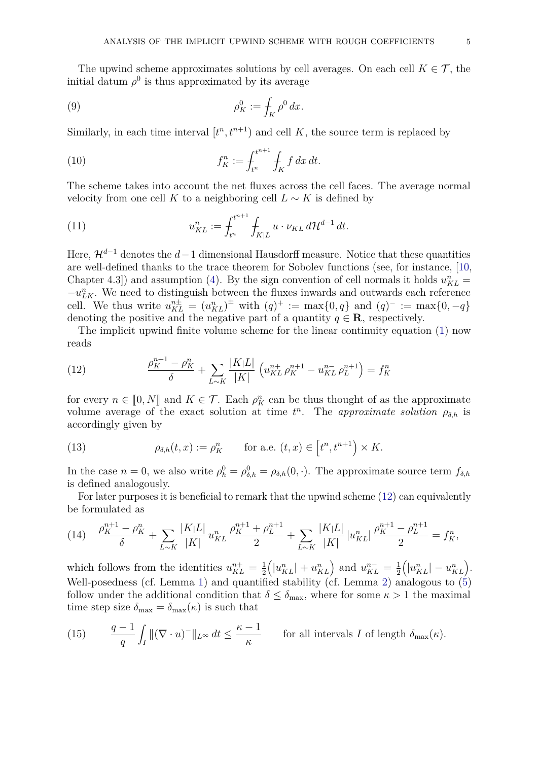The upwind scheme approximates solutions by cell averages. On each cell  $K \in \mathcal{T}$ , the initial datum  $\rho^0$  is thus approximated by its average

<span id="page-4-3"></span>(9) 
$$
\rho_K^0 := \int_K \rho^0 dx.
$$

Similarly, in each time interval  $[t<sup>n</sup>, t<sup>n+1</sup>]$  and cell K, the source term is replaced by

<span id="page-4-4"></span>(10) 
$$
f_K^n := \int_{t^n}^{t^{n+1}} \int_K f \, dx \, dt.
$$

The scheme takes into account the net fluxes across the cell faces. The average normal velocity from one cell *K* to a neighboring cell  $L \sim K$  is defined by

<span id="page-4-5"></span>(11) 
$$
u_{KL}^n := \int_{t^n}^{t^{n+1}} \int_{K|L} u \cdot \nu_{KL} d\mathcal{H}^{d-1} dt.
$$

Here,  $\mathcal{H}^{d-1}$  denotes the  $d-1$  dimensional Hausdorff measure. Notice that these quantities are well-defined thanks to the trace theorem for Sobolev functions (see, for instance, [\[10,](#page-25-7) Chapter 4.3]) and assumption [\(4\)](#page-1-2). By the sign convention of cell normals it holds  $u_{KL}^n =$  $-u_{LK}^n$ . We need to distinguish between the fluxes inwards and outwards each reference cell. We thus write  $u_{KL}^{n\pm} = (u_{KL}^n)^{\pm}$  with  $(q)^+ := \max\{0, q\}$  and  $(q)^- := \max\{0, -q\}$ denoting the positive and the negative part of a quantity  $q \in \mathbf{R}$ , respectively.

The implicit upwind finite volume scheme for the linear continuity equation [\(1\)](#page-0-0) now reads

<span id="page-4-0"></span>(12) 
$$
\frac{\rho_K^{n+1} - \rho_K^n}{\delta} + \sum_{L \sim K} \frac{|K|L|}{|K|} \left( u_{KL}^{n+} \rho_K^{n+1} - u_{KL}^{n-} \rho_L^{n+1} \right) = f_K^n
$$

for every  $n \in [0, N]$  and  $K \in \mathcal{T}$ . Each  $\rho_K^n$  can be thus thought of as the approximate<br>volume average of the exact solution at time  $t^n$ . The approximate solution as is volume average of the exact solution at time  $t^n$ . The *approximate solution*  $\rho_{\delta,h}$  is accordingly given by

<span id="page-4-2"></span>(13) 
$$
\rho_{\delta,h}(t,x) := \rho_K^n \quad \text{for a.e. } (t,x) \in \left[t^n, t^{n+1}\right) \times K.
$$

In the case  $n = 0$ , we also write  $\rho_h^0 = \rho_{\delta,h}^0 = \rho_{\delta,h}(0,\cdot)$ . The approximate source term  $f_{\delta,h}$ is defined analogously.

For later purposes it is beneficial to remark that the upwind scheme [\(12\)](#page-4-0) can equivalently be formulated as

<span id="page-4-6"></span>
$$
(14) \quad \frac{\rho_K^{n+1} - \rho_K^n}{\delta} + \sum_{L \sim K} \frac{|K|L|}{|K|} u_{KL}^n \frac{\rho_K^{n+1} + \rho_L^{n+1}}{2} + \sum_{L \sim K} \frac{|K|L|}{|K|} |u_{KL}^n| \frac{\rho_K^{n+1} - \rho_L^{n+1}}{2} = f_K^n,
$$

which follows from the identities  $u_{KL}^{n+} = \frac{1}{2}$ 2  $\left(|u_{KL}^n| + u_{KL}^n\right)$  and  $u_{KL}^{n-} = \frac{1}{2}$ 2  $\left(|u_{KL}^n| - u_{KL}^n\right)$ . Well-posedness (cf. Lemma [1\)](#page-8-1) and quantified stability (cf. Lemma [2\)](#page-8-2) analogous to  $(5)$ follow under the additional condition that  $\delta \leq \delta_{\text{max}}$ , where for some  $\kappa > 1$  the maximal time step size  $\delta_{\text{max}} = \delta_{\text{max}}(\kappa)$  is such that

<span id="page-4-1"></span>(15) 
$$
\frac{q-1}{q} \int_{I} \| (\nabla \cdot u)^{-} \|_{L^{\infty}} dt \leq \frac{\kappa - 1}{\kappa}
$$
 for all intervals  $I$  of length  $\delta_{\max}(\kappa)$ .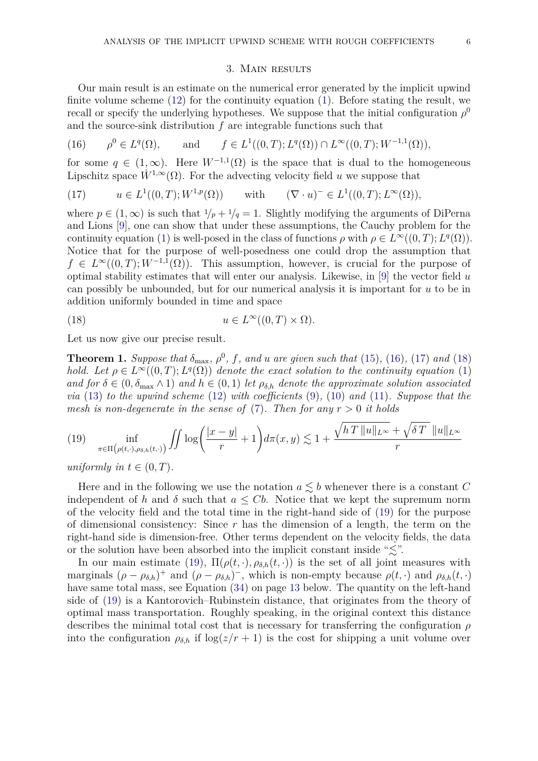#### 3. Main results

<span id="page-5-0"></span>Our main result is an estimate on the numerical error generated by the implicit upwind finite volume scheme  $(12)$  for the continuity equation  $(1)$ . Before stating the result, we recall or specify the underlying hypotheses. We suppose that the initial configuration  $\rho^0$ and the source-sink distribution *f* are integrable functions such that

<span id="page-5-1"></span>(16) 
$$
\rho^0 \in L^q(\Omega)
$$
, and  $f \in L^1((0,T); L^q(\Omega)) \cap L^\infty((0,T); W^{-1,1}(\Omega)),$ 

for some  $q \in (1,\infty)$ . Here  $W^{-1,1}(\Omega)$  is the space that is dual to the homogeneous Lipschitz space  $\dot{W}^{1,\infty}(\Omega)$ . For the advecting velocity field *u* we suppose that

<span id="page-5-2"></span>(17) 
$$
u \in L^1((0,T); W^{1,p}(\Omega))
$$
 with  $(\nabla \cdot u)^- \in L^1((0,T); L^{\infty}(\Omega)),$ 

where  $p \in (1,\infty)$  is such that  $1/p + 1/q = 1$ . Slightly modifying the arguments of DiPerna and Lions [\[9\]](#page-25-0), one can show that under these assumptions, the Cauchy problem for the continuity equation [\(1\)](#page-0-0) is well-posed in the class of functions  $\rho$  with  $\rho \in L^{\infty}((0,T); L^{q}(\Omega))$ . Notice that for the purpose of well-posedness one could drop the assumption that  $f \in L^{\infty}((0,T); W^{-1,1}(\Omega))$ . This assumption, however, is crucial for the purpose of optimal stability estimates that will enter our analysis. Likewise, in [\[9\]](#page-25-0) the vector field *u* can possibly be unbounded, but for our numerical analysis it is important for *u* to be in addition uniformly bounded in time and space

<span id="page-5-3"></span>(18) 
$$
u \in L^{\infty}((0,T) \times \Omega).
$$

Let us now give our precise result.

<span id="page-5-5"></span>**Theorem 1.** *Suppose that*  $\delta_{\text{max}}$ *,*  $\rho^0$ *,*  $f$ *,* and  $u$  are given such that [\(15\)](#page-4-1), [\(16\)](#page-5-1), [\(17\)](#page-5-2) and [\(18\)](#page-5-3) *hold.* Let  $\rho \in L^{\infty}((0,T); L^{q}(\Omega))$  *denote the exact solution to the continuity equation* [\(1\)](#page-0-0) *and for*  $\delta \in (0, \delta_{\max} \wedge 1)$  *and*  $h \in (0, 1)$  *let*  $\rho_{\delta,h}$  *denote the approximate solution associated via* [\(13\)](#page-4-2) *to the upwind scheme* [\(12\)](#page-4-0) *with coefficients* [\(9\)](#page-4-3)*,* [\(10\)](#page-4-4) *and* [\(11\)](#page-4-5)*. Suppose that the mesh is non-degenerate in the sense of* [\(7\)](#page-3-1). Then for any  $r > 0$  it holds

<span id="page-5-4"></span>(19) 
$$
\inf_{\pi \in \Pi(\rho(t,\cdot),\rho_{\delta,h}(t,\cdot))} \iint \log \left( \frac{|x-y|}{r} + 1 \right) d\pi(x,y) \lesssim 1 + \frac{\sqrt{hT \Vert u \Vert_{L^{\infty}}} + \sqrt{\delta T} \Vert u \Vert_{L^{\infty}}}{r}
$$

*uniformly in*  $t \in (0, T)$ .

Here and in the following we use the notation  $a \leq b$  whenever there is a constant *C* independent of *h* and  $\delta$  such that  $a \leq Cb$ . Notice that we kept the supremum norm of the velocity field and the total time in the right-hand side of [\(19\)](#page-5-4) for the purpose of dimensional consistency: Since *r* has the dimension of a length, the term on the right-hand side is dimension-free. Other terms dependent on the velocity fields, the data or the solution have been absorbed into the implicit constant inside " $\lesssim$ ".

In our main estimate [\(19\)](#page-5-4),  $\Pi(\rho(t, \cdot), \rho_{\delta,h}(t, \cdot))$  is the set of all joint measures with marginals  $(\rho - \rho_{\delta,h})^+$  and  $(\rho - \rho_{\delta,h})^-$ , which is non-empty because  $\rho(t, \cdot)$  and  $\rho_{\delta,h}(t, \cdot)$ have same total mass, see Equation [\(34\)](#page-12-0) on page [13](#page-12-0) below. The quantity on the left-hand side of [\(19\)](#page-5-4) is a Kantorovich–Rubinstein distance, that originates from the theory of optimal mass transportation. Roughly speaking, in the original context this distance describes the minimal total cost that is necessary for transferring the configuration *ρ* into the configuration  $\rho_{\delta,h}$  if  $\log(z/r+1)$  is the cost for shipping a unit volume over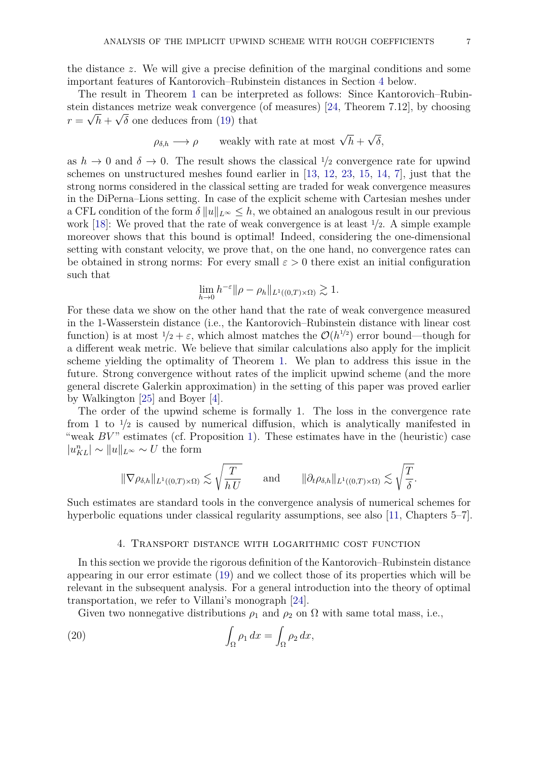the distance *z*. We will give a precise definition of the marginal conditions and some important features of Kantorovich–Rubinstein distances in Section [4](#page-6-0) below.

The result in Theorem [1](#page-5-5) can be interpreted as follows: Since Kantorovich–Rubin-stein distances metrize weak convergence (of measures) [\[24,](#page-26-10) Theorem 7.12], by choosing  $r = \sqrt{h} + \sqrt{\delta}$  one deduces from [\(19\)](#page-5-4) that

$$
\rho_{\delta,h} \longrightarrow \rho
$$
 weakly with rate at most  $\sqrt{h} + \sqrt{\delta}$ ,

as  $h \to 0$  and  $\delta \to 0$ . The result shows the classical  $\frac{1}{2}$  convergence rate for upwind schemes on unstructured meshes found earlier in [\[13,](#page-26-0) [12,](#page-25-2) [23,](#page-26-1) [15,](#page-26-2) [14,](#page-26-3) [7\]](#page-25-3), just that the strong norms considered in the classical setting are traded for weak convergence measures in the DiPerna–Lions setting. In case of the explicit scheme with Cartesian meshes under a CFL condition of the form  $\delta ||u||_{L^{\infty}} \leq h$ , we obtained an analogous result in our previous work [\[18\]](#page-26-6): We proved that the rate of weak convergence is at least <sup>1</sup>*/*2. A simple example moreover shows that this bound is optimal! Indeed, considering the one-dimensional setting with constant velocity, we prove that, on the one hand, no convergence rates can be obtained in strong norms: For every small  $\varepsilon > 0$  there exist an initial configuration such that

$$
\lim_{h \to 0} h^{-\varepsilon} \|\rho - \rho_h\|_{L^1((0,T) \times \Omega)} \gtrsim 1.
$$

For these data we show on the other hand that the rate of weak convergence measured in the 1-Wasserstein distance (i.e., the Kantorovich–Rubinstein distance with linear cost function) is at most  $1/2 + \varepsilon$ , which almost matches the  $\mathcal{O}(h^{1/2})$  error bound—though for a different weak metric. We believe that similar calculations also apply for the implicit scheme yielding the optimality of Theorem [1.](#page-5-5) We plan to address this issue in the future. Strong convergence without rates of the implicit upwind scheme (and the more general discrete Galerkin approximation) in the setting of this paper was proved earlier by Walkington [\[25\]](#page-26-9) and Boyer [\[4\]](#page-25-5).

The order of the upwind scheme is formally 1. The loss in the convergence rate from 1 to  $\frac{1}{2}$  is caused by numerical diffusion, which is analytically manifested in "weak *BV*" estimates (cf. Proposition [1\)](#page-13-0). These estimates have in the (heuristic) case  $|u_{KL}^n|$  ∼  $||u||_{L^\infty}$  ∼ *U* the form

$$
\|\nabla \rho_{\delta,h}\|_{L^1((0,T)\times\Omega)} \lesssim \sqrt{\frac{T}{h\,U}} \qquad \text{and} \qquad \|\partial_t \rho_{\delta,h}\|_{L^1((0,T)\times\Omega)} \lesssim \sqrt{\frac{T}{\delta}}.
$$

Such estimates are standard tools in the convergence analysis of numerical schemes for hyperbolic equations under classical regularity assumptions, see also [\[11,](#page-25-6) Chapters 5–7].

## <span id="page-6-1"></span>4. Transport distance with logarithmic cost function

<span id="page-6-0"></span>In this section we provide the rigorous definition of the Kantorovich–Rubinstein distance appearing in our error estimate [\(19\)](#page-5-4) and we collect those of its properties which will be relevant in the subsequent analysis. For a general introduction into the theory of optimal transportation, we refer to Villani's monograph [\[24\]](#page-26-10).

Given two nonnegative distributions  $\rho_1$  and  $\rho_2$  on  $\Omega$  with same total mass, i.e.,

(20) 
$$
\int_{\Omega} \rho_1 dx = \int_{\Omega} \rho_2 dx,
$$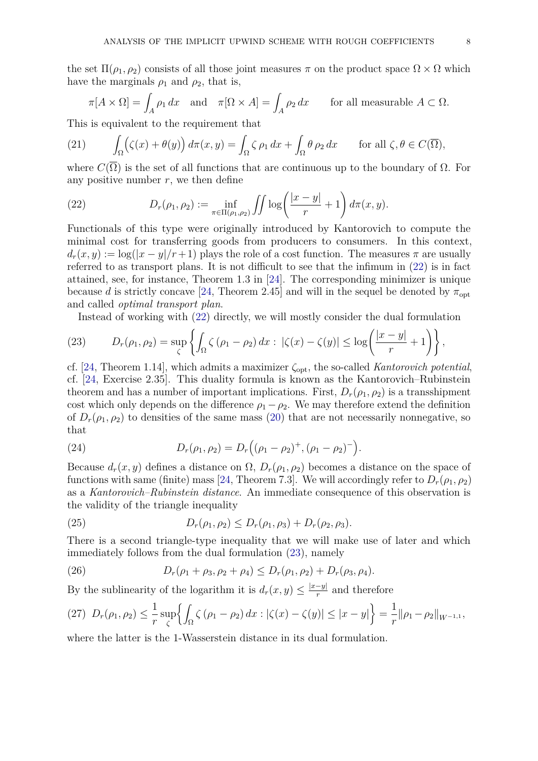$$
\pi[A \times \Omega] = \int_A \rho_1 \, dx \quad \text{and} \quad \pi[\Omega \times A] = \int_A \rho_2 \, dx \qquad \text{for all measurable } A \subset \Omega.
$$

This is equivalent to the requirement that

<span id="page-7-4"></span>(21) 
$$
\int_{\Omega} (\zeta(x) + \theta(y)) d\pi(x, y) = \int_{\Omega} \zeta \rho_1 dx + \int_{\Omega} \theta \rho_2 dx \quad \text{for all } \zeta, \theta \in C(\overline{\Omega}),
$$

where  $C(\Omega)$  is the set of all functions that are continuous up to the boundary of  $\Omega$ . For any positive number  $r$ , we then define

<span id="page-7-0"></span>(22) 
$$
D_r(\rho_1, \rho_2) := \inf_{\pi \in \Pi(\rho_1, \rho_2)} \iint \log \left( \frac{|x - y|}{r} + 1 \right) d\pi(x, y).
$$

Functionals of this type were originally introduced by Kantorovich to compute the minimal cost for transferring goods from producers to consumers. In this context,  $d_r(x, y) := \log(|x - y|/r + 1)$  plays the role of a cost function. The measures  $\pi$  are usually referred to as transport plans. It is not difficult to see that the infimum in [\(22\)](#page-7-0) is in fact attained, see, for instance, Theorem 1.3 in [\[24\]](#page-26-10). The corresponding minimizer is unique because *d* is strictly concave [\[24,](#page-26-10) Theorem 2.45] and will in the sequel be denoted by  $\pi_{\text{opt}}$ and called *optimal transport plan*.

<span id="page-7-1"></span>Instead of working with [\(22\)](#page-7-0) directly, we will mostly consider the dual formulation

(23) 
$$
D_r(\rho_1, \rho_2) = \sup_{\zeta} \left\{ \int_{\Omega} \zeta (\rho_1 - \rho_2) dx : |\zeta(x) - \zeta(y)| \le \log \left( \frac{|x - y|}{r} + 1 \right) \right\},
$$

cf. [\[24,](#page-26-10) Theorem 1.14], which admits a maximizer  $\zeta_{opt}$ , the so-called *Kantorovich potential*, cf. [\[24,](#page-26-10) Exercise 2.35]. This duality formula is known as the Kantorovich–Rubinstein theorem and has a number of important implications. First,  $D_r(\rho_1, \rho_2)$  is a transshipment cost which only depends on the difference  $\rho_1 - \rho_2$ . We may therefore extend the definition of  $D_r(\rho_1, \rho_2)$  to densities of the same mass [\(20\)](#page-6-1) that are not necessarily nonnegative, so that

<span id="page-7-5"></span>(24) 
$$
D_r(\rho_1, \rho_2) = D_r((\rho_1 - \rho_2)^+, (\rho_1 - \rho_2)^-).
$$

Because  $d_r(x, y)$  defines a distance on  $\Omega$ ,  $D_r(\rho_1, \rho_2)$  becomes a distance on the space of functions with same (finite) mass [\[24,](#page-26-10) Theorem 7.3]. We will accordingly refer to  $D_r(\rho_1, \rho_2)$ as a *Kantorovich–Rubinstein distance*. An immediate consequence of this observation is the validity of the triangle inequality

<span id="page-7-2"></span>(25) 
$$
D_r(\rho_1, \rho_2) \le D_r(\rho_1, \rho_3) + D_r(\rho_2, \rho_3).
$$

There is a second triangle-type inequality that we will make use of later and which immediately follows from the dual formulation [\(23\)](#page-7-1), namely

<span id="page-7-6"></span>(26) 
$$
D_r(\rho_1+\rho_3,\rho_2+\rho_4)\leq D_r(\rho_1,\rho_2)+D_r(\rho_3,\rho_4).
$$

By the sublinearity of the logarithm it is  $d_r(x, y) \leq \frac{|x-y|}{r}$  $\frac{-y}{r}$  and therefore

<span id="page-7-3"></span>
$$
(27) \ D_r(\rho_1, \rho_2) \leq \frac{1}{r} \sup_{\zeta} \left\{ \int_{\Omega} \zeta (\rho_1 - \rho_2) \, dx : |\zeta(x) - \zeta(y)| \leq |x - y| \right\} = \frac{1}{r} ||\rho_1 - \rho_2||_{W^{-1,1}},
$$

where the latter is the 1-Wasserstein distance in its dual formulation.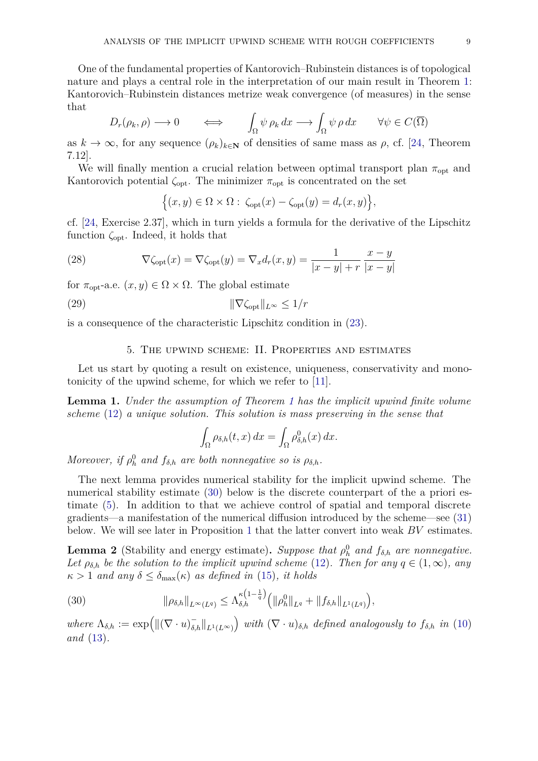One of the fundamental properties of Kantorovich–Rubinstein distances is of topological nature and plays a central role in the interpretation of our main result in Theorem [1:](#page-5-5) Kantorovich–Rubinstein distances metrize weak convergence (of measures) in the sense that

$$
D_r(\rho_k, \rho) \longrightarrow 0 \qquad \Longleftrightarrow \qquad \int_{\Omega} \psi \, \rho_k \, dx \longrightarrow \int_{\Omega} \psi \, \rho \, dx \qquad \forall \psi \in C(\overline{\Omega})
$$

as  $k \to \infty$ , for any sequence  $(\rho_k)_{k \in \mathbb{N}}$  of densities of same mass as  $\rho$ , cf. [\[24,](#page-26-10) Theorem 7.12].

We will finally mention a crucial relation between optimal transport plan  $\pi_{opt}$  and Kantorovich potential  $\zeta_{\text{opt}}$ . The minimizer  $\pi_{\text{opt}}$  is concentrated on the set

<span id="page-8-5"></span>
$$
\Big\{(x,y)\in\Omega\times\Omega:\ \zeta_{\text{opt}}(x)-\zeta_{\text{opt}}(y)=d_r(x,y)\Big\},\
$$

cf. [\[24,](#page-26-10) Exercise 2.37], which in turn yields a formula for the derivative of the Lipschitz function *ζ*opt. Indeed, it holds that

(28) 
$$
\nabla \zeta_{\text{opt}}(x) = \nabla \zeta_{\text{opt}}(y) = \nabla_x d_r(x, y) = \frac{1}{|x - y| + r} \frac{x - y}{|x - y|}
$$

for  $\pi_{\text{opt}}$ -a.e.  $(x, y) \in \Omega \times \Omega$ . The global estimate

$$
\|\nabla \zeta_{\text{opt}}\|_{L^{\infty}} \le 1/r
$$

is a consequence of the characteristic Lipschitz condition in [\(23\)](#page-7-1).

## <span id="page-8-4"></span>5. The upwind scheme: II. Properties and estimates

<span id="page-8-0"></span>Let us start by quoting a result on existence, uniqueness, conservativity and monotonicity of the upwind scheme, for which we refer to [\[11\]](#page-25-6).

<span id="page-8-1"></span>**Lemma 1.** *Under the assumption of Theorem [1](#page-5-5) has the implicit upwind finite volume scheme* [\(12\)](#page-4-0) *a unique solution. This solution is mass preserving in the sense that*

$$
\int_{\Omega} \rho_{\delta,h}(t,x) dx = \int_{\Omega} \rho_{\delta,h}^0(x) dx.
$$

*Moreover, if*  $\rho_h^0$  *and*  $f_{\delta,h}$  *are both nonnegative so is*  $\rho_{\delta,h}$ *.* 

The next lemma provides numerical stability for the implicit upwind scheme. The numerical stability estimate [\(30\)](#page-8-3) below is the discrete counterpart of the a priori estimate [\(5\)](#page-1-0). In addition to that we achieve control of spatial and temporal discrete gradients—a manifestation of the numerical diffusion introduced by the scheme—see [\(31\)](#page-9-0) below. We will see later in Proposition [1](#page-13-0) that the latter convert into weak *BV* estimates.

<span id="page-8-2"></span>**Lemma 2** (Stability and energy estimate). Suppose that  $\rho_h^0$  and  $f_{\delta,h}$  are nonnegative. *Let*  $\rho_{\delta,h}$  *be the solution to the implicit upwind scheme* [\(12\)](#page-4-0)*. Then for any*  $q \in (1,\infty)$ *, any*  $\kappa > 1$  *and any*  $\delta \leq \delta_{\max}(\kappa)$  *as defined in* [\(15\)](#page-4-1)*, it holds* 

<span id="page-8-3"></span>(30) 
$$
\|\rho_{\delta,h}\|_{L^{\infty}(L^q)} \leq \Lambda_{\delta,h}^{\kappa\left(1-\frac{1}{q}\right)} \left( \|\rho_h^0\|_{L^q} + \|f_{\delta,h}\|_{L^1(L^q)} \right),
$$

 $where \ \Lambda_{\delta,h} := \exp\left(\left\|\left(\nabla \cdot u\right)_{\delta,h}^{-}\right\|_{L^1(L^{\infty})}\right) \ with \ (\nabla \cdot u)_{\delta,h} \ defined \ analogously \ to \ f_{\delta,h} \ in \ (10)$  $where \ \Lambda_{\delta,h} := \exp\left(\left\|\left(\nabla \cdot u\right)_{\delta,h}^{-}\right\|_{L^1(L^{\infty})}\right) \ with \ (\nabla \cdot u)_{\delta,h} \ defined \ analogously \ to \ f_{\delta,h} \ in \ (10)$ *and* [\(13\)](#page-4-2)*.*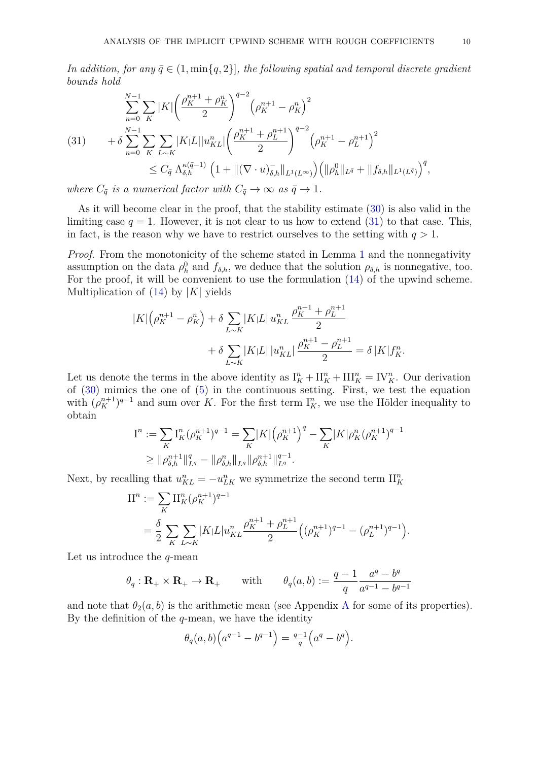*In addition, for any*  $\bar{q} \in (1, \min\{q, 2\}]$ *, the following spatial and temporal discrete gradient bounds hold*

<span id="page-9-0"></span>
$$
\sum_{n=0}^{N-1} \sum_{K} |K| \left( \frac{\rho_K^{n+1} + \rho_K^n}{2} \right)^{\bar{q}-2} \left( \rho_K^{n+1} - \rho_K^n \right)^2
$$
\n
$$
(31) \qquad + \delta \sum_{n=0}^{N-1} \sum_{K} \sum_{L \sim K} |K|L| |u_{KL}^n| \left( \frac{\rho_K^{n+1} + \rho_L^{n+1}}{2} \right)^{\bar{q}-2} \left( \rho_K^{n+1} - \rho_L^{n+1} \right)^2
$$
\n
$$
\leq C_{\bar{q}} \Lambda_{\delta,h}^{\kappa(\bar{q}-1)} \left( 1 + \| (\nabla \cdot u)_{\delta,h}^- \|_{L^1(L^\infty)} \right) \left( \| \rho_h^0 \|_{L^{\bar{q}}} + \| f_{\delta,h} \|_{L^1(L^{\bar{q}})} \right)^{\bar{q}},
$$

*where*  $C_{\bar{q}}$  *is a numerical factor with*  $C_{\bar{q}} \rightarrow \infty$  *as*  $\bar{q} \rightarrow 1$ *.* 

As it will become clear in the proof, that the stability estimate [\(30\)](#page-8-3) is also valid in the limiting case  $q = 1$ . However, it is not clear to us how to extend [\(31\)](#page-9-0) to that case. This, in fact, is the reason why we have to restrict ourselves to the setting with  $q > 1$ .

*Proof.* From the monotonicity of the scheme stated in Lemma [1](#page-8-1) and the nonnegativity assumption on the data  $\rho_h^0$  and  $f_{\delta,h}$ , we deduce that the solution  $\rho_{\delta,h}$  is nonnegative, too. For the proof, it will be convenient to use the formulation [\(14\)](#page-4-6) of the upwind scheme. Multiplication of [\(14\)](#page-4-6) by |*K*| yields

$$
|K|(\rho_K^{n+1} - \rho_K^n) + \delta \sum_{L \sim K} |K|L| u_{KL}^n \frac{\rho_K^{n+1} + \rho_L^{n+1}}{2} + \delta \sum_{L \sim K} |K|L| |u_{KL}^n| \frac{\rho_K^{n+1} - \rho_L^{n+1}}{2} = \delta |K| f_K^n.
$$

Let us denote the terms in the above identity as  $I_K^n + II_K^n + III_K^n = IV_K^n$ . Our derivation of [\(30\)](#page-8-3) mimics the one of [\(5\)](#page-1-0) in the continuous setting. First, we test the equation with  $(\rho_K^{n+1})^{q-1}$  and sum over *K*. For the first term  $I_K^n$ , we use the Hölder inequality to obtain

$$
I^{n} := \sum_{K} I_{K}^{n} (\rho_{K}^{n+1})^{q-1} = \sum_{K} |K| (\rho_{K}^{n+1})^{q} - \sum_{K} |K| \rho_{K}^{n} (\rho_{K}^{n+1})^{q-1}
$$
  
\n
$$
\geq ||\rho_{\delta,h}^{n+1}||_{L^{q}}^{q} - ||\rho_{\delta,h}^{n}||_{L^{q}} ||\rho_{\delta,h}^{n+1}||_{L^{q}}^{q-1}.
$$

Next, by recalling that  $u_{KL}^n = -u_{LK}^n$  we symmetrize the second term  $\prod_{K}^{n}$ 

$$
\begin{split} \mathcal{II}^n &:= \sum_K \mathcal{II}^n_K (\rho^{n+1}_K)^{q-1} \\ &= \frac{\delta}{2} \sum_K \sum_{L \sim K} |K| L |u^n_{KL} \frac{\rho^{n+1}_K + \rho^{n+1}_L}{2} \Big( (\rho^{n+1}_K)^{q-1} - (\rho^{n+1}_L)^{q-1} \Big). \end{split}
$$

Let us introduce the *q*-mean

$$
\theta_q : \mathbf{R}_+ \times \mathbf{R}_+ \to \mathbf{R}_+
$$
 with  $\theta_q(a, b) := \frac{q-1}{q} \frac{a^q - b^q}{a^{q-1} - b^{q-1}}$ 

and note that  $\theta_2(a, b)$  is the arithmetic mean (see [A](#page-24-0)ppendix A for some of its properties). By the definition of the *q*-mean, we have the identity

$$
\theta_q(a, b) \Big( a^{q-1} - b^{q-1} \Big) = \frac{q-1}{q} \Big( a^q - b^q \Big).
$$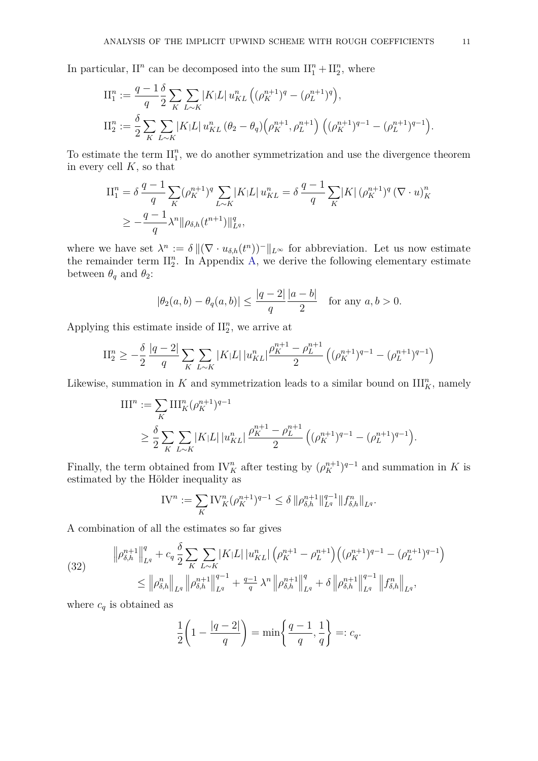In particular,  $II^n$  can be decomposed into the sum  $II_1^n + II_2^n$ , where

$$
\begin{split} \mathcal{II}_{1}^{n} &:= \frac{q-1}{q} \frac{\delta}{2} \sum_{K} \sum_{L \sim K} |K| L| \, u_{KL}^{n} \left( (\rho_{K}^{n+1})^{q} - (\rho_{L}^{n+1})^{q} \right), \\ \mathcal{II}_{2}^{n} &:= \frac{\delta}{2} \sum_{K} \sum_{L \sim K} |K| L| \, u_{KL}^{n} \left( \theta_{2} - \theta_{q} \right) \left( \rho_{K}^{n+1}, \rho_{L}^{n+1} \right) \left( (\rho_{K}^{n+1})^{q-1} - (\rho_{L}^{n+1})^{q-1} \right). \end{split}
$$

To estimate the term  $\prod_{1}^{n}$ , we do another symmetrization and use the divergence theorem in every cell *K*, so that

$$
\begin{split} \Pi_{1}^{n} &= \delta \, \frac{q-1}{q} \sum_{K} (\rho_{K}^{n+1})^{q} \sum_{L \sim K} |K| L \, u_{KL}^{n} = \delta \, \frac{q-1}{q} \sum_{K} |K| \, (\rho_{K}^{n+1})^{q} \, (\nabla \cdot u)_{K}^{n} \\ &\geq -\frac{q-1}{q} \lambda^{n} \|\rho_{\delta,h}(t^{n+1})\|_{L^{q}}^{q}, \end{split}
$$

where we have set  $\lambda^n := \delta ||(\nabla \cdot u_{\delta,h}(t^n))^{-}||_{L^{\infty}}$  for abbreviation. Let us now estimate the remainder term  $\prod_{2}^{n}$ . In Appendix [A,](#page-24-0) we derive the following elementary estimate between  $\theta_q$  and  $\theta_2$ :

$$
|\theta_2(a, b) - \theta_q(a, b)| \le \frac{|q-2|}{q} \frac{|a-b|}{2}
$$
 for any  $a, b > 0$ .

Applying this estimate inside of  $\mathrm{II}_2^n$ , we arrive at

$$
\mathrm{II}_{2}^{n} \geq -\frac{\delta}{2} \frac{|q-2|}{q} \sum_{K} \sum_{L \sim K} |K| L| |u_{KL}^{n}| \frac{\rho_{K}^{n+1} - \rho_{L}^{n+1}}{2} \left( (\rho_{K}^{n+1})^{q-1} - (\rho_{L}^{n+1})^{q-1} \right)
$$

Likewise, summation in  $K$  and symmetrization leads to a similar bound on  $\text{III}_K^n$ , namely

$$
\begin{split} III^n &:= \sum_K III_K^n (\rho_K^{n+1})^{q-1} \\ &\ge \frac{\delta}{2} \sum_K \sum_{L \sim K} |K| L| \, |u_{KL}^n| \, \frac{\rho_K^{n+1} - \rho_L^{n+1}}{2} \left( (\rho_K^{n+1})^{q-1} - (\rho_L^{n+1})^{q-1} \right). \end{split}
$$

Finally, the term obtained from  $\mathrm{IV}_K^n$  after testing by  $(\rho_K^{n+1})^{q-1}$  and summation in *K* is estimated by the Hölder inequality as

$$
IV^{n} := \sum_{K} IV_{K}^{n} (\rho_{K}^{n+1})^{q-1} \leq \delta \, \|\rho_{\delta,h}^{n+1}\|_{L^{q}}^{q-1} \|f_{\delta,h}^{n}\|_{L^{q}}.
$$

A combination of all the estimates so far gives

<span id="page-10-0"></span>(32) 
$$
\|\rho_{\delta,h}^{n+1}\|_{L^q}^q + c_q \frac{\delta}{2} \sum_{K} \sum_{L \sim K} |K|L| \left| u_{KL}^n \right| \left( \rho_K^{n+1} - \rho_L^{n+1} \right) \left( (\rho_K^{n+1})^{q-1} - (\rho_L^{n+1})^{q-1} \right) \leq \left\| \rho_{\delta,h}^n \right\|_{L^q} \left\| \rho_{\delta,h}^{n+1} \right\|_{L^q}^{q-1} + \frac{q-1}{q} \lambda^n \left\| \rho_{\delta,h}^{n+1} \right\|_{L^q}^q + \delta \left\| \rho_{\delta,h}^{n+1} \right\|_{L^q}^{q-1} \left\| f_{\delta,h}^n \right\|_{L^q},
$$

where  $c_q$  is obtained as

$$
\frac{1}{2}\left(1-\frac{|q-2|}{q}\right)=\min\left\{\frac{q-1}{q},\frac{1}{q}\right\}=:c_q.
$$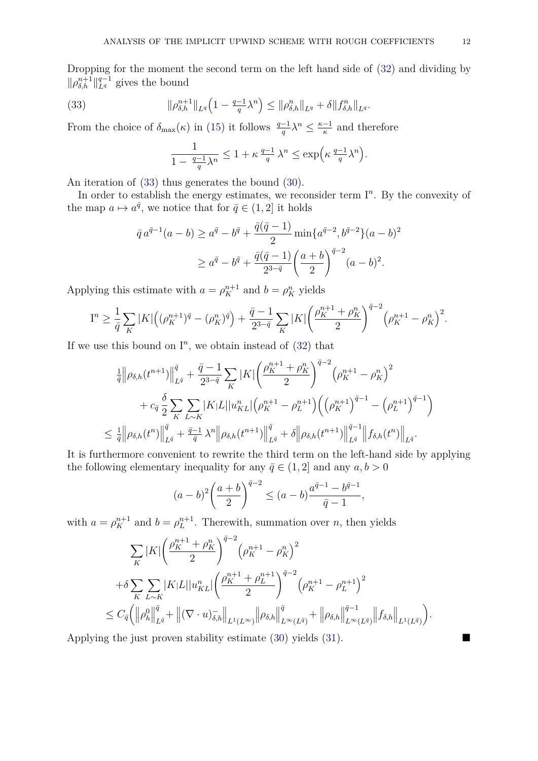Dropping for the moment the second term on the left hand side of [\(32\)](#page-10-0) and dividing by  $\|\rho_{\delta,h}^{n+1}\|_{L^q}^{q-1}$  gives the bound

(33) 
$$
\|\rho_{\delta,h}^{n+1}\|_{L^q}\left(1-\frac{q-1}{q}\lambda^n\right)\leq \|\rho_{\delta,h}^n\|_{L^q}+\delta\|f_{\delta,h}^n\|_{L^q}.
$$

From the choice of  $\delta_{\max}(\kappa)$  in [\(15\)](#page-4-1) it follows  $\frac{q-1}{q}\lambda^n \leq \frac{\kappa-1}{\kappa}$  $\frac{-1}{\kappa}$  and therefore

<span id="page-11-0"></span>
$$
\frac{1}{1 - \frac{q-1}{q}\lambda^n} \le 1 + \kappa \frac{q-1}{q} \lambda^n \le \exp\left(\kappa \frac{q-1}{q}\lambda^n\right)
$$

*.*

An iteration of [\(33\)](#page-11-0) thus generates the bound [\(30\)](#page-8-3).

In order to establish the energy estimates, we reconsider term  $I<sup>n</sup>$ . By the convexity of the map  $a \mapsto a^{\bar{q}}$ , we notice that for  $\bar{q} \in (1, 2]$  it holds

$$
\bar{q} a^{\bar{q}-1}(a-b) \ge a^{\bar{q}} - b^{\bar{q}} + \frac{\bar{q}(\bar{q}-1)}{2} \min\{a^{\bar{q}-2}, b^{\bar{q}-2}\}(a-b)^2
$$

$$
\ge a^{\bar{q}} - b^{\bar{q}} + \frac{\bar{q}(\bar{q}-1)}{2^{3-\bar{q}}} \left(\frac{a+b}{2}\right)^{\bar{q}-2} (a-b)^2.
$$

Applying this estimate with  $a = \rho_K^{n+1}$  and  $b = \rho_K^n$  yields

$$
I^{n} \geq \frac{1}{\bar{q}} \sum_{K} |K| \Big( (\rho_{K}^{n+1})^{\bar{q}} - (\rho_{K}^{n})^{\bar{q}} \Big) + \frac{\bar{q}-1}{2^{3-\bar{q}}} \sum_{K} |K| \Big( \frac{\rho_{K}^{n+1} + \rho_{K}^{n}}{2} \Big)^{\bar{q}-2} \Big( \rho_{K}^{n+1} - \rho_{K}^{n} \Big)^{2}.
$$

If we use this bound on  $I<sup>n</sup>$ , we obtain instead of  $(32)$  that

$$
\frac{1}{\bar{q}} \left\| \rho_{\delta,h}(t^{n+1}) \right\|_{L^{\bar{q}}}^{\bar{q}} + \frac{\bar{q}-1}{2^{3-\bar{q}}} \sum_{K} |K| \left( \frac{\rho_K^{n+1} + \rho_K^n}{2} \right)^{\bar{q}-2} \left( \rho_K^{n+1} - \rho_K^n \right)^2 \n+ c_{\bar{q}} \frac{\delta}{2} \sum_{K} \sum_{L \sim K} |K|L| |u_{KL}^n| \left( \rho_K^{n+1} - \rho_L^{n+1} \right) \left( \left( \rho_K^{n+1} \right)^{\bar{q}-1} - \left( \rho_L^{n+1} \right)^{\bar{q}-1} \right) \n\leq \frac{1}{\bar{q}} \left\| \rho_{\delta,h}(t^n) \right\|_{L^{\bar{q}}}^{\bar{q}} + \frac{\bar{q}-1}{\bar{q}} \lambda^n \left\| \rho_{\delta,h}(t^{n+1}) \right\|_{L^{\bar{q}}}^{\bar{q}} + \delta \left\| \rho_{\delta,h}(t^{n+1}) \right\|_{L^{\bar{q}}}^{\bar{q}-1} \left\| f_{\delta,h}(t^n) \right\|_{L^{\bar{q}}}.
$$

It is furthermore convenient to rewrite the third term on the left-hand side by applying the following elementary inequality for any  $\bar{q} \in (1, 2]$  and any  $a, b > 0$ 

$$
(a-b)^2 \left(\frac{a+b}{2}\right)^{\bar{q}-2} \le (a-b) \frac{a^{\bar{q}-1} - b^{\bar{q}-1}}{\bar{q}-1},
$$

with  $a = \rho_K^{n+1}$  and  $b = \rho_L^{n+1}$ . Therewith, summation over *n*, then yields

$$
\sum_{K} |K| \left(\frac{\rho_{K}^{n+1} + \rho_{K}^{n}}{2}\right)^{\bar{q}-2} \left(\rho_{K}^{n+1} - \rho_{K}^{n}\right)^{2} \n+ \delta \sum_{K} \sum_{L \sim K} |K|L||u_{KL}^{n} \left(\frac{\rho_{K}^{n+1} + \rho_{L}^{n+1}}{2}\right)^{\bar{q}-2} \left(\rho_{K}^{n+1} - \rho_{L}^{n+1}\right)^{2} \n\leq C_{\bar{q}} \left(\left\|\rho_{h}^{0}\right\|_{L^{\bar{q}}}^{\bar{q}} + \left\|\left(\nabla \cdot u\right)_{\delta,h}^{-}\right\|_{L^{1}(L^{\infty})} \left\|\rho_{\delta,h}\right\|_{L^{\infty}(L^{\bar{q}})}^{\bar{q}} + \left\|\rho_{\delta,h}\right\|_{L^{\infty}(L^{\bar{q}})}^{\bar{q}-1} \left\|f_{\delta,h}\right\|_{L^{1}(L^{\bar{q}})}^{\bar{q}}\right).
$$

Applying the just proven stability estimate [\(30\)](#page-8-3) yields [\(31\)](#page-9-0).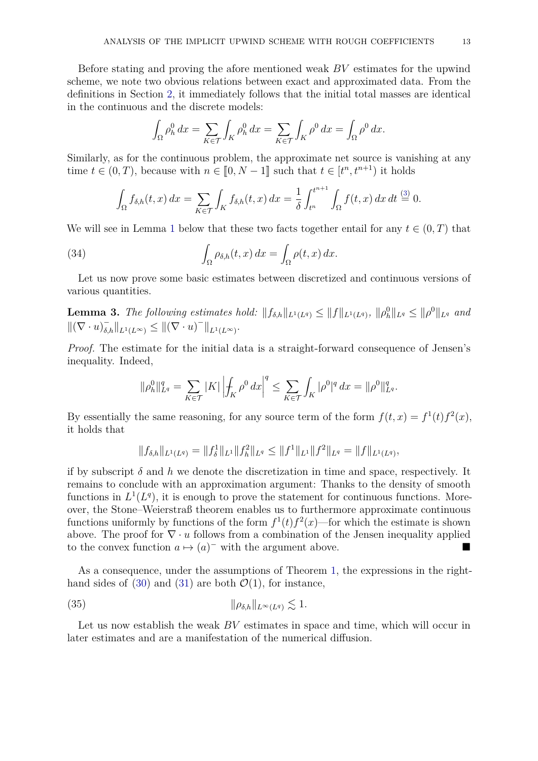Before stating and proving the afore mentioned weak *BV* estimates for the upwind scheme, we note two obvious relations between exact and approximated data. From the definitions in Section [2,](#page-3-0) it immediately follows that the initial total masses are identical in the continuous and the discrete models:

$$
\int_{\Omega} \rho_h^0 dx = \sum_{K \in \mathcal{T}} \int_K \rho_h^0 dx = \sum_{K \in \mathcal{T}} \int_K \rho^0 dx = \int_{\Omega} \rho^0 dx.
$$

Similarly, as for the continuous problem, the approximate net source is vanishing at any time  $t \in (0, T)$ , because with  $n \in [0, N - 1]$  such that  $t \in [t^n, t^{n+1})$  it holds

<span id="page-12-0"></span>
$$
\int_{\Omega} f_{\delta,h}(t,x) dx = \sum_{K \in \mathcal{T}} \int_{K} f_{\delta,h}(t,x) dx = \frac{1}{\delta} \int_{t^n}^{t^{n+1}} \int_{\Omega} f(t,x) dx dt \stackrel{(3)}{=} 0.
$$

We will see in Lemma [1](#page-8-1) below that these two facts together entail for any  $t \in (0,T)$  that

(34) 
$$
\int_{\Omega} \rho_{\delta,h}(t,x) dx = \int_{\Omega} \rho(t,x) dx.
$$

Let us now prove some basic estimates between discretized and continuous versions of various quantities.

<span id="page-12-1"></span>**Lemma 3.** The following estimates hold:  $||f_{\delta,h}||_{L^1(L^q)} \le ||f||_{L^1(L^q)}$ ,  $||\rho_h^0||_{L^q} \le ||\rho^0||_{L^q}$  and  $\|(\nabla \cdot u)_{\delta,h}^{-}\|_{L^{1}(L^{\infty})} \leq \|(\nabla \cdot u)^{-}\|_{L^{1}(L^{\infty})}.$ 

*Proof.* The estimate for the initial data is a straight-forward consequence of Jensen's inequality. Indeed,

$$
\|\rho_h^0\|_{L^q}^q = \sum_{K\in\mathcal{T}} |K| \left| \int_K \rho^0 dx \right|^q \le \sum_{K\in\mathcal{T}} \int_K |\rho^0|^q dx = \|\rho^0\|_{L^q}^q.
$$

By essentially the same reasoning, for any source term of the form  $f(t, x) = f<sup>1</sup>(t) f<sup>2</sup>(x)$ , it holds that

$$
||f_{\delta,h}||_{L^1(L^q)} = ||f_{\delta}^1||_{L^1}||f_h^2||_{L^q} \leq ||f^1||_{L^1}||f^2||_{L^q} = ||f||_{L^1(L^q)},
$$

if by subscript  $\delta$  and  $h$  we denote the discretization in time and space, respectively. It remains to conclude with an approximation argument: Thanks to the density of smooth functions in  $L^1(L^q)$ , it is enough to prove the statement for continuous functions. Moreover, the Stone–Weierstraß theorem enables us to furthermore approximate continuous functions uniformly by functions of the form  $f^1(t)f^2(x)$ —for which the estimate is shown above. The proof for  $\nabla \cdot u$  follows from a combination of the Jensen inequality applied to the convex function  $a \mapsto (a)^-$  with the argument above.

As a consequence, under the assumptions of Theorem [1,](#page-5-5) the expressions in the right-hand sides of [\(30\)](#page-8-3) and [\(31\)](#page-9-0) are both  $\mathcal{O}(1)$ , for instance,

<span id="page-12-2"></span>(35) k*ρδ,h*k*L*∞(*Lq*) . 1*.*

Let us now establish the weak *BV* estimates in space and time, which will occur in later estimates and are a manifestation of the numerical diffusion.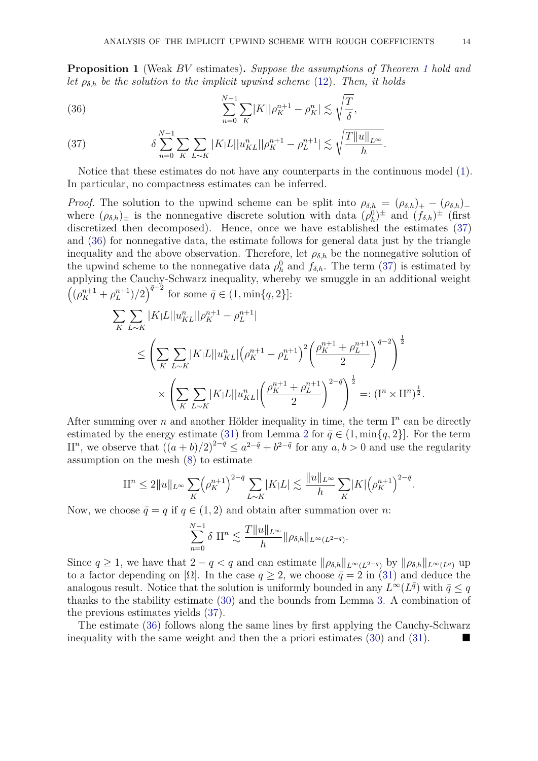<span id="page-13-0"></span>**Proposition 1** (Weak *BV* estimates)**.** *Suppose the assumptions of Theorem [1](#page-5-5) hold and let*  $\rho_{\delta,h}$  *be the solution to the implicit upwind scheme* [\(12\)](#page-4-0)*. Then, it holds* 

<span id="page-13-2"></span>(36) 
$$
\sum_{n=0}^{N-1} \sum_{K} |K| |\rho_K^{n+1} - \rho_K^n| \lesssim \sqrt{\frac{T}{\delta}},
$$

<span id="page-13-1"></span>(37) 
$$
\delta \sum_{n=0}^{N-1} \sum_{K} \sum_{L \sim K} |K| L ||u_{KL}^{n}|| \rho_{K}^{n+1} - \rho_{L}^{n+1}| \lesssim \sqrt{\frac{T ||u||_{L^{\infty}}}{h}}.
$$

Notice that these estimates do not have any counterparts in the continuous model [\(1\)](#page-0-0). In particular, no compactness estimates can be inferred.

*Proof.* The solution to the upwind scheme can be split into  $\rho_{\delta,h} = (\rho_{\delta,h})_+ - (\rho_{\delta,h})_$ where  $(\rho_{\delta,h})_{\pm}$  is the nonnegative discrete solution with data  $(\rho_h^0)^{\pm}$  and  $(f_{\delta,h})^{\pm}$  (first discretized then decomposed). Hence, once we have established the estimates  $(37)$ and [\(36\)](#page-13-2) for nonnegative data, the estimate follows for general data just by the triangle inequality and the above observation. Therefore, let  $\rho_{\delta,h}$  be the nonnegative solution of the upwind scheme to the nonnegative data  $\rho_h^0$  and  $f_{\delta,h}$ . The term [\(37\)](#page-13-1) is estimated by applying the Cauchy-Schwarz inequality, whereby we smuggle in an additional weight  $((\rho_K^{n+1} + \rho_L^{n+1})/2)^{\bar{q}-2}$  for some  $\bar{q} \in (1, \min\{q, 2\}]$ :

$$
\sum_{K} \sum_{L \sim K} |K|L||u_{KL}^{n}||\rho_{K}^{n+1} - \rho_{L}^{n+1}|
$$
\n
$$
\leq \left(\sum_{K} \sum_{L \sim K} |K|L||u_{KL}^{n}|\left(\rho_{K}^{n+1} - \rho_{L}^{n+1}\right)^{2}\left(\frac{\rho_{K}^{n+1} + \rho_{L}^{n+1}}{2}\right)^{\bar{q}-2}\right)^{\frac{1}{2}}
$$
\n
$$
\times \left(\sum_{K} \sum_{L \sim K} |K|L||u_{KL}^{n}|\left(\frac{\rho_{K}^{n+1} + \rho_{L}^{n+1}}{2}\right)^{2-\bar{q}}\right)^{\frac{1}{2}} =: (\mathbf{I}^{n} \times \mathbf{II}^{n})^{\frac{1}{2}}.
$$

After summing over  $n$  and another Hölder inequality in time, the term  $I<sup>n</sup>$  can be directly estimated by the energy estimate [\(31\)](#page-9-0) from Lemma [2](#page-8-2) for  $\bar{q} \in (1, \min\{q, 2\}]$ . For the term II<sup>n</sup>, we observe that  $((a + b)/2)^{2-\bar{q}} \le a^{2-\bar{q}} + b^{2-\bar{q}}$  for any  $a, b > 0$  and use the regularity assumption on the mesh [\(8\)](#page-3-2) to estimate

$$
\mathcal{II}^n \le 2||u||_{L^{\infty}} \sum_K \left(\rho_K^{n+1}\right)^{2-\bar{q}} \sum_{L \sim K} |K|L| \lesssim \frac{||u||_{L^{\infty}}}{h} \sum_K |K| \left(\rho_K^{n+1}\right)^{2-\bar{q}}.
$$

Now, we choose  $\bar{q} = q$  if  $q \in (1, 2)$  and obtain after summation over *n*:

$$
\sum_{n=0}^{N-1} \delta \, \prod^{n} \lesssim \frac{T \|u\|_{L^{\infty}}}{h} \|\rho_{\delta,h}\|_{L^{\infty}(L^{2-q})}.
$$

Since  $q \geq 1$ , we have that  $2 - q < q$  and can estimate  $\|\rho_{\delta,h}\|_{L^{\infty}(L^{2-q})}$  by  $\|\rho_{\delta,h}\|_{L^{\infty}(L^{q})}$  up to a factor depending on  $|\Omega|$ . In the case  $q \geq 2$ , we choose  $\bar{q} = 2$  in [\(31\)](#page-9-0) and deduce the analogous result. Notice that the solution is uniformly bounded in any  $L^{\infty}(L^{\bar{q}})$  with  $\bar{q} \leq q$ thanks to the stability estimate [\(30\)](#page-8-3) and the bounds from Lemma [3.](#page-12-1) A combination of the previous estimates yields [\(37\)](#page-13-1).

The estimate [\(36\)](#page-13-2) follows along the same lines by first applying the Cauchy-Schwarz inequality with the same weight and then the a priori estimates [\(30\)](#page-8-3) and [\(31\)](#page-9-0).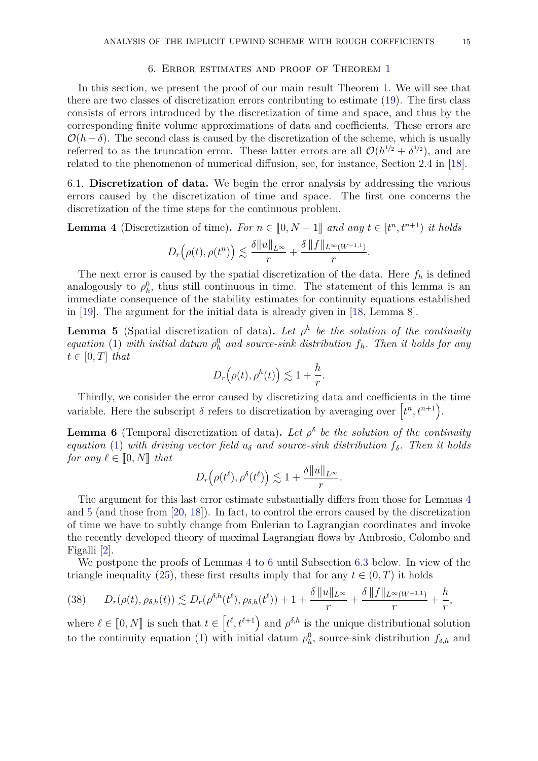#### 6. Error estimates and proof of Theorem [1](#page-5-5)

<span id="page-14-0"></span>In this section, we present the proof of our main result Theorem [1.](#page-5-5) We will see that there are two classes of discretization errors contributing to estimate [\(19\)](#page-5-4). The first class consists of errors introduced by the discretization of time and space, and thus by the corresponding finite volume approximations of data and coefficients. These errors are  $\mathcal{O}(h+\delta)$ . The second class is caused by the discretization of the scheme, which is usually referred to as the truncation error. These latter errors are all  $\mathcal{O}(h^{1/2} + \delta^{1/2})$ , and are related to the phenomenon of numerical diffusion, see, for instance, Section 2.4 in [\[18\]](#page-26-6).

6.1. **Discretization of data.** We begin the error analysis by addressing the various errors caused by the discretization of time and space. The first one concerns the discretization of the time steps for the continuous problem.

<span id="page-14-1"></span>**Lemma 4** (Discretization of time). *For*  $n \in [0, N - 1]$  *and any*  $t \in [t^n, t^{n+1})$  *it holds* 

$$
D_r(\rho(t),\rho(t^n)) \lesssim \frac{\delta ||u||_{L^{\infty}}}{r} + \frac{\delta ||f||_{L^{\infty}(W^{-1,1})}}{r}.
$$

The next error is caused by the spatial discretization of the data. Here  $f_h$  is defined analogously to  $\rho_h^0$ , thus still continuous in time. The statement of this lemma is an immediate consequence of the stability estimates for continuity equations established in [\[19\]](#page-26-7). The argument for the initial data is already given in [\[18,](#page-26-6) Lemma 8].

<span id="page-14-2"></span>**Lemma 5** (Spatial discretization of data). Let  $\rho^h$  be the solution of the continuity *equation* [\(1\)](#page-0-0) *with initial datum*  $\rho_h^0$  *and source-sink distribution*  $f_h$ *. Then it holds for any*  $t \in [0, T]$  *that* 

$$
D_r(\rho(t), \rho^h(t)) \lesssim 1 + \frac{h}{r}.
$$

Thirdly, we consider the error caused by discretizing data and coefficients in the time variable. Here the subscript  $\delta$  refers to discretization by averaging over  $\left[t^n, t^{n+1}\right)$ .

<span id="page-14-3"></span>**Lemma 6** (Temporal discretization of data). Let  $\rho^{\delta}$  be the solution of the continuity *equation* [\(1\)](#page-0-0) *with driving vector field*  $u_{\delta}$  *and source-sink distribution*  $f_{\delta}$ *. Then it holds for any*  $\ell \in [0, N]$  *that* 

$$
D_r(\rho(t^{\ell}), \rho^{\delta}(t^{\ell})) \lesssim 1 + \frac{\delta ||u||_{L^{\infty}}}{r}.
$$

The argument for this last error estimate substantially differs from those for Lemmas [4](#page-14-1) and [5](#page-14-2) (and those from [\[20,](#page-26-8) [18\]](#page-26-6)). In fact, to control the errors caused by the discretization of time we have to subtly change from Eulerian to Lagrangian coordinates and invoke the recently developed theory of maximal Lagrangian flows by Ambrosio, Colombo and Figalli [\[2\]](#page-25-8).

We postpone the proofs of Lemmas [4](#page-14-1) to [6](#page-14-3) until Subsection [6.3](#page-16-0) below. In view of the triangle inequality [\(25\)](#page-7-2), these first results imply that for any  $t \in (0, T)$  it holds

<span id="page-14-4"></span>
$$
(38) \qquad D_r(\rho(t),\rho_{\delta,h}(t)) \lesssim D_r(\rho^{\delta,h}(t^{\ell}),\rho_{\delta,h}(t^{\ell})) + 1 + \frac{\delta ||u||_{L^{\infty}}}{r} + \frac{\delta ||f||_{L^{\infty}(W^{-1,1})}}{r} + \frac{h}{r},
$$

where  $\ell \in [0, N]$  is such that  $t \in [t^{\ell}, t^{\ell+1})$  and  $\rho^{\delta, h}$  is the unique distributional solution to the continuity equation [\(1\)](#page-0-0) with initial datum  $\rho_h^0$ , source-sink distribution  $f_{\delta,h}$  and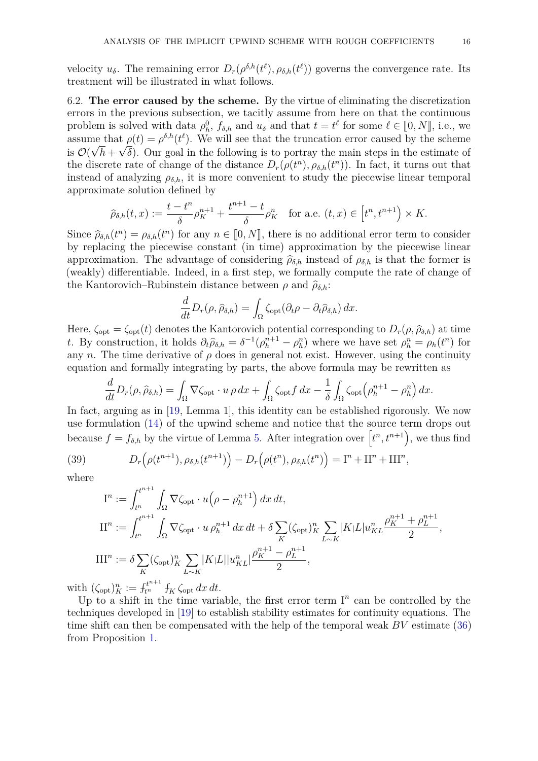velocity  $u_{\delta}$ . The remaining error  $D_r(\rho^{\delta,h}(t^{\ell}), \rho_{\delta,h}(t^{\ell}))$  governs the convergence rate. Its treatment will be illustrated in what follows.

6.2. **The error caused by the scheme.** By the virtue of eliminating the discretization errors in the previous subsection, we tacitly assume from here on that the continuous problem is solved with data  $\rho_h^0$ ,  $f_{\delta,h}$  and  $u_{\delta}$  and that  $t = t^{\ell}$  for some  $\ell \in [0, N]$ , i.e., we<br>assume that  $\rho(t) = \rho_{h}^{\delta,h}(\ell)$ . We will see that the truncation error caused by the scheme assume that  $\rho(t) = \rho^{\delta,h}(t^{\ell})$ . We will see that the truncation error caused by the scheme is  $\mathcal{O}(\sqrt{h} + \sqrt{\delta})$ . Our goal in the following is to portray the main steps in the estimate of the discrete rate of change of the distance  $D_r(\rho(t^n), \rho_{\delta,h}(t^n))$ . In fact, it turns out that instead of analyzing  $\rho_{\delta,h}$ , it is more convenient to study the piecewise linear temporal approximate solution defined by

$$
\widehat{\rho}_{\delta,h}(t,x) := \frac{t - t^n}{\delta} \rho_K^{n+1} + \frac{t^{n+1} - t}{\delta} \rho_K^n \quad \text{for a.e. } (t,x) \in \left[ t^n, t^{n+1} \right) \times K.
$$

Since  $\hat{\rho}_{\delta,h}(t^n) = \rho_{\delta,h}(t^n)$  for any  $n \in [0, N]$ , there is no additional error term to consider<br>by replacing the piecewise constant (in time) approximation by the piecewise linear by replacing the piecewise constant (in time) approximation by the piecewise linear approximation. The advantage of considering  $\hat{\rho}_{\delta,h}$  instead of  $\rho_{\delta,h}$  is that the former is (weakly) differentiable. Indeed, in a first step, we formally compute the rate of change of the Kantorovich–Rubinstein distance between  $\rho$  and  $\hat{\rho}_{\delta,h}$ :

$$
\frac{d}{dt}D_r(\rho,\widehat{\rho}_{\delta,h}) = \int_{\Omega} \zeta_{\text{opt}}(\partial_t \rho - \partial_t \widehat{\rho}_{\delta,h}) dx.
$$

Here,  $\zeta_{\text{opt}} = \zeta_{\text{opt}}(t)$  denotes the Kantorovich potential corresponding to  $D_r(\rho, \hat{\rho}_{\delta,h})$  at time t. By construction, it holds  $\partial_t \hat{\rho}_{\delta,h} = \delta^{-1}(\rho_h^{n+1} - \rho_h^n)$  where we have set  $\rho_h^n = \rho_h(t^n)$  for any *n*. The time derivative of  $\rho$  does in general not exist. However, using the continuity equation and formally integrating by parts, the above formula may be rewritten as

$$
\frac{d}{dt}D_r(\rho,\widehat{\rho}_{\delta,h}) = \int_{\Omega}\nabla\zeta_{\text{opt}}\cdot u\rho\,dx + \int_{\Omega}\zeta_{\text{opt}}f\,dx - \frac{1}{\delta}\int_{\Omega}\zeta_{\text{opt}}\left(\rho_h^{n+1} - \rho_h^n\right)dx.
$$

In fact, arguing as in [\[19,](#page-26-7) Lemma 1], this identity can be established rigorously. We now use formulation [\(14\)](#page-4-6) of the upwind scheme and notice that the source term drops out because  $f = f_{\delta,h}$  by the virtue of Lemma [5.](#page-14-2) After integration over  $\left[t^n, t^{n+1}\right)$ , we thus find

(39) 
$$
D_r\left(\rho(t^{n+1}), \rho_{\delta,h}(t^{n+1})\right) - D_r\left(\rho(t^n), \rho_{\delta,h}(t^n)\right) = \mathbf{I}^n + \mathbf{II}^n + \mathbf{III}^n,
$$

where

<span id="page-15-0"></span>
$$
I^n := \int_{t^n}^{t^{n+1}} \int_{\Omega} \nabla \zeta_{\text{opt}} \cdot u \left(\rho - \rho_h^{n+1}\right) dx dt,
$$
  
\n
$$
II^n := \int_{t^n}^{t^{n+1}} \int_{\Omega} \nabla \zeta_{\text{opt}} \cdot u \, \rho_h^{n+1} dx dt + \delta \sum_K (\zeta_{\text{opt}})_K^n \sum_{L \sim K} |K| L |u_{KL}^n \frac{\rho_K^{n+1} + \rho_L^{n+1}}{2},
$$
  
\n
$$
III^n := \delta \sum_K (\zeta_{\text{opt}})_K^n \sum_{L \sim K} |K| L |u_{KL}^n| \frac{\rho_K^{n+1} - \rho_L^{n+1}}{2},
$$

with  $(\zeta_{\text{opt}})_K^n := f_{t^n}^{t^{n+1}} f_K \zeta_{\text{opt}} dx dt$ .

Up to a shift in the time variable, the first error term  $I<sup>n</sup>$  can be controlled by the techniques developed in [\[19\]](#page-26-7) to establish stability estimates for continuity equations. The time shift can then be compensated with the help of the temporal weak *BV* estimate [\(36\)](#page-13-2) from Proposition [1.](#page-13-0)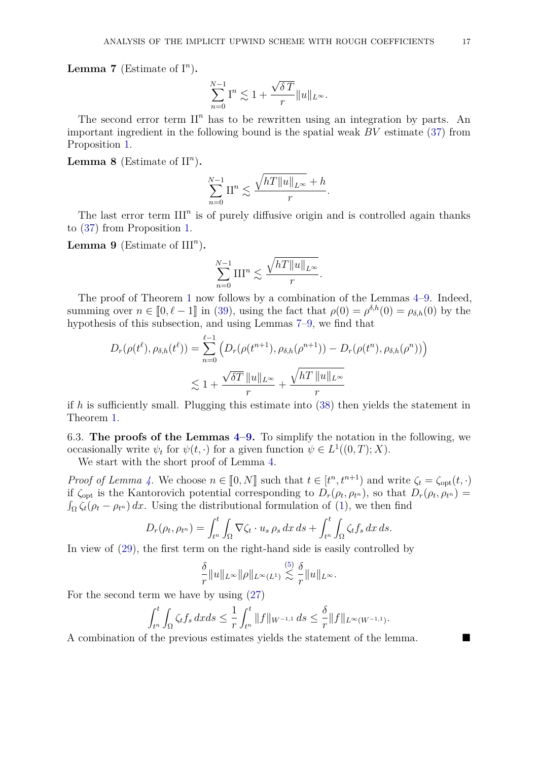<span id="page-16-2"></span>**Lemma 7** (Estimate of  $I^n$ ).

$$
\sum_{n=0}^{N-1} \mathbf{I}^n \lesssim 1 + \frac{\sqrt{\delta T}}{r} ||u||_{L^{\infty}}.
$$

The second error term  $\mathbb{I}^n$  has to be rewritten using an integration by parts. An important ingredient in the following bound is the spatial weak *BV* estimate [\(37\)](#page-13-1) from Proposition [1.](#page-13-0)

<span id="page-16-3"></span>**Lemma 8** (Estimate of  $II<sup>n</sup>$ ).

$$
\sum_{n=0}^{N-1} \mathcal{II}^n \lesssim \frac{\sqrt{hT||u||_{L^{\infty}}} + h}{r}.
$$

The last error term  $III<sup>n</sup>$  is of purely diffusive origin and is controlled again thanks to [\(37\)](#page-13-1) from Proposition [1.](#page-13-0)

<span id="page-16-1"></span>**Lemma 9** (Estimate of  $III<sup>n</sup>$ ).

$$
\sum_{n=0}^{N-1} \text{III}^n \lesssim \frac{\sqrt{hT||u||_{L^{\infty}}}}{r}.
$$

The proof of Theorem [1](#page-5-5) now follows by a combination of the Lemmas [4](#page-14-1)[–9.](#page-16-1) Indeed, summing over  $n \in [0, \ell - 1]$  in [\(39\)](#page-15-0), using the fact that  $\rho(0) = \rho^{\delta, h}(0) = \rho_{\delta, h}(0)$  by the hypothosis of this subsection, and using Lemmas 7–0, we find that hypothesis of this subsection, and using Lemmas [7–](#page-16-2)[9,](#page-16-1) we find that

$$
D_r(\rho(t^{\ell}), \rho_{\delta,h}(t^{\ell})) = \sum_{n=0}^{\ell-1} \left( D_r(\rho(t^{n+1}), \rho_{\delta,h}(\rho^{n+1})) - D_r(\rho(t^n), \rho_{\delta,h}(\rho^n)) \right)
$$
  

$$
\lesssim 1 + \frac{\sqrt{\delta T} ||u||_{L^{\infty}}}{r} + \frac{\sqrt{hT} ||u||_{L^{\infty}}}{r}
$$

if *h* is sufficiently small. Plugging this estimate into [\(38\)](#page-14-4) then yields the statement in Theorem [1.](#page-5-5)

<span id="page-16-0"></span>6.3. **The proofs of the Lemmas [4](#page-14-1)[–9.](#page-16-1)** To simplify the notation in the following, we occasionally write  $\psi_t$  for  $\psi(t, \cdot)$  for a given function  $\psi \in L^1((0, T); X)$ .

We start with the short proof of Lemma [4.](#page-14-1)

*Proof of Lemma [4.](#page-14-1)* We choose  $n \in [0, N]$  such that  $t \in [t^n, t^{n+1})$  and write  $\zeta_t = \zeta_{\text{opt}}(t, \cdot)$ <br>if  $\zeta_{\text{opt}}(t, \cdot)$  is the Kantorovich potential corresponding to  $D$  (e.g. ) so that  $D$  (e.g. ) = if  $\zeta_{\text{opt}}$  is the Kantorovich potential corresponding to  $D_r(\rho_t, \rho_{t^n})$ , so that  $D_r(\rho_t, \rho_{t^n})$  $\int_{\Omega} \zeta_t(\rho_t - \rho_{t^n}) dx$ . Using the distributional formulation of [\(1\)](#page-0-0), we then find

$$
D_r(\rho_t, \rho_{t^n}) = \int_{t^n}^t \int_{\Omega} \nabla \zeta_t \cdot u_s \, \rho_s \, dx \, ds + \int_{t^n}^t \int_{\Omega} \zeta_t f_s \, dx \, ds.
$$

In view of [\(29\)](#page-8-4), the first term on the right-hand side is easily controlled by

$$
\frac{\delta}{r}||u||_{L^{\infty}}||\rho||_{L^{\infty}(L^1)} \lesssim \frac{\delta}{r}||u||_{L^{\infty}}.
$$

For the second term we have by using [\(27\)](#page-7-3)

$$
\int_{t^n}^t \int_{\Omega} \zeta_t f_s \, dx ds \leq \frac{1}{r} \int_{t^n}^t \|f\|_{W^{-1,1}} \, ds \leq \frac{\delta}{r} \|f\|_{L^{\infty}(W^{-1,1})}.
$$

A combination of the previous estimates yields the statement of the lemma.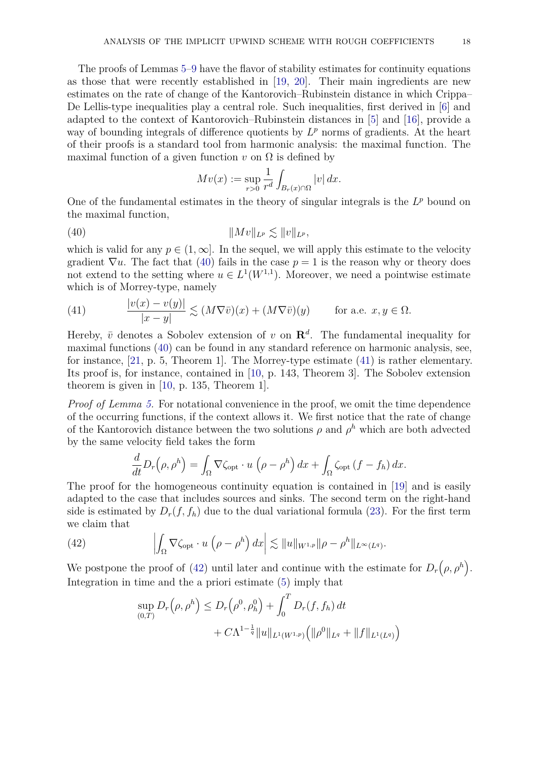The proofs of Lemmas [5–](#page-14-2)[9](#page-16-1) have the flavor of stability estimates for continuity equations as those that were recently established in [\[19,](#page-26-7) [20\]](#page-26-8). Their main ingredients are new estimates on the rate of change of the Kantorovich–Rubinstein distance in which Crippa– De Lellis-type inequalities play a central role. Such inequalities, first derived in [\[6\]](#page-25-9) and adapted to the context of Kantorovich–Rubinstein distances in [\[5\]](#page-25-10) and [\[16\]](#page-26-11), provide a way of bounding integrals of difference quotients by  $L^p$  norms of gradients. At the heart of their proofs is a standard tool from harmonic analysis: the maximal function. The maximal function of a given function  $v$  on  $\Omega$  is defined by

<span id="page-17-0"></span>
$$
Mv(x) := \sup_{r>0} \frac{1}{r^d} \int_{B_r(x) \cap \Omega} |v| \, dx.
$$

One of the fundamental estimates in the theory of singular integrals is the  $L^p$  bound on the maximal function,

(40) k*Mv*k*L<sup>p</sup>* . k*v*k*L<sup>p</sup> ,*

which is valid for any  $p \in (1,\infty]$ . In the sequel, we will apply this estimate to the velocity gradient  $\nabla u$ . The fact that [\(40\)](#page-17-0) fails in the case  $p = 1$  is the reason why or theory does not extend to the setting where  $u \in L^1(W^{1,1})$ . Moreover, we need a pointwise estimate which is of Morrey-type, namely

<span id="page-17-1"></span>(41) 
$$
\frac{|v(x) - v(y)|}{|x - y|} \lesssim (M\nabla \bar{v})(x) + (M\nabla \bar{v})(y) \quad \text{for a.e. } x, y \in \Omega.
$$

Hereby,  $\bar{v}$  denotes a Sobolev extension of *v* on  $\mathbb{R}^d$ . The fundamental inequality for maximal functions [\(40\)](#page-17-0) can be found in any standard reference on harmonic analysis, see, for instance, [\[21,](#page-26-12) p. 5, Theorem 1]. The Morrey-type estimate [\(41\)](#page-17-1) is rather elementary. Its proof is, for instance, contained in [\[10,](#page-25-7) p. 143, Theorem 3]. The Sobolev extension theorem is given in [\[10,](#page-25-7) p. 135, Theorem 1].

*Proof of Lemma [5.](#page-14-2)* For notational convenience in the proof, we omit the time dependence of the occurring functions, if the context allows it. We first notice that the rate of change of the Kantorovich distance between the two solutions  $\rho$  and  $\rho^h$  which are both advected by the same velocity field takes the form

$$
\frac{d}{dt}D_r(\rho,\rho^h) = \int_{\Omega} \nabla \zeta_{\text{opt}} \cdot u\left(\rho - \rho^h\right) dx + \int_{\Omega} \zeta_{\text{opt}}\left(f - f_h\right) dx.
$$

The proof for the homogeneous continuity equation is contained in [\[19\]](#page-26-7) and is easily adapted to the case that includes sources and sinks. The second term on the right-hand side is estimated by  $D_r(f, f_h)$  due to the dual variational formula [\(23\)](#page-7-1). For the first term we claim that

(42) 
$$
\left| \int_{\Omega} \nabla \zeta_{\text{opt}} \cdot u \left( \rho - \rho^h \right) dx \right| \lesssim \|u\|_{W^{1,p}} \|\rho - \rho^h\|_{L^{\infty}(L^q)}.
$$

We postpone the proof of [\(42\)](#page-17-2) until later and continue with the estimate for  $D_r(\rho, \rho^h)$ . Integration in time and the a priori estimate [\(5\)](#page-1-0) imply that

<span id="page-17-2"></span>
$$
\sup_{(0,T)} D_r(\rho, \rho^h) \le D_r(\rho^0, \rho^0_h) + \int_0^T D_r(f, f_h) dt + C\Lambda^{1-\frac{1}{q}} \|u\|_{L^1(W^{1,p})} \Big( \|\rho^0\|_{L^q} + \|f\|_{L^1(L^q)} \Big)
$$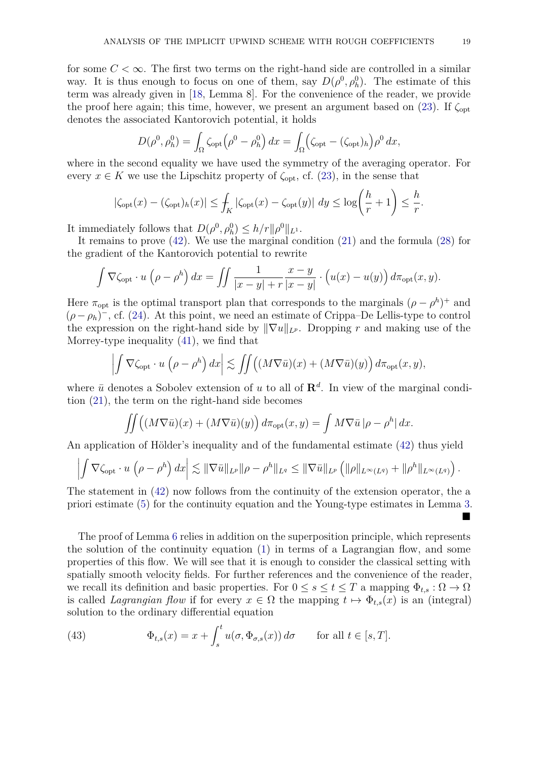for some  $C < \infty$ . The first two terms on the right-hand side are controlled in a similar way. It is thus enough to focus on one of them, say  $D(\rho^0, \rho_h^0)$ . The estimate of this term was already given in [\[18,](#page-26-6) Lemma 8]. For the convenience of the reader, we provide the proof here again; this time, however, we present an argument based on  $(23)$ . If  $\zeta_{\text{opt}}$ denotes the associated Kantorovich potential, it holds

$$
D(\rho^0, \rho_h^0) = \int_{\Omega} \zeta_{\rm opt} (\rho^0 - \rho_h^0) dx = \int_{\Omega} (\zeta_{\rm opt} - (\zeta_{\rm opt})_h) \rho^0 dx,
$$

where in the second equality we have used the symmetry of the averaging operator. For every  $x \in K$  we use the Lipschitz property of  $\zeta_{\text{opt}}$ , cf. [\(23\)](#page-7-1), in the sense that

$$
|\zeta_{\text{opt}}(x) - (\zeta_{\text{opt}})_h(x)| \le \int_K |\zeta_{\text{opt}}(x) - \zeta_{\text{opt}}(y)| dy \le \log\left(\frac{h}{r} + 1\right) \le \frac{h}{r}
$$

It immediately follows that  $D(\rho^0, \rho^0_h) \leq h/r||\rho^0||_{L^1}$ .

It remains to prove [\(42\)](#page-17-2). We use the marginal condition [\(21\)](#page-7-4) and the formula [\(28\)](#page-8-5) for the gradient of the Kantorovich potential to rewrite

$$
\int \nabla \zeta_{\rm opt} \cdot u \left( \rho - \rho^h \right) dx = \iint \frac{1}{|x - y| + r} \frac{x - y}{|x - y|} \cdot \left( u(x) - u(y) \right) d\pi_{\rm opt}(x, y).
$$

Here  $\pi_{opt}$  is the optimal transport plan that corresponds to the marginals  $(\rho - \rho^h)^+$  and  $(\rho - \rho_h)^{-}$ , cf. [\(24\)](#page-7-5). At this point, we need an estimate of Crippa–De Lellis-type to control the expression on the right-hand side by  $\|\nabla u\|_{L^p}$ . Dropping *r* and making use of the Morrey-type inequality [\(41\)](#page-17-1), we find that

$$
\left| \int \nabla \zeta_{\text{opt}} \cdot u \left( \rho - \rho^h \right) dx \right| \lesssim \iint \left( (M \nabla \bar{u})(x) + (M \nabla \bar{u})(y) \right) d\pi_{\text{opt}}(x, y),
$$

where  $\bar{u}$  denotes a Sobolev extension of *u* to all of  $\mathbb{R}^d$ . In view of the marginal condition [\(21\)](#page-7-4), the term on the right-hand side becomes

$$
\iint \left( (M\nabla \bar{u})(x) + (M\nabla \bar{u})(y) \right) d\pi_{\text{opt}}(x, y) = \int M\nabla \bar{u} \left| \rho - \rho^h \right| dx.
$$

An application of Hölder's inequality and of the fundamental estimate [\(42\)](#page-17-2) thus yield

$$
\left| \int \nabla \zeta_{\text{opt}} \cdot u \left( \rho - \rho^h \right) dx \right| \lesssim \| \nabla \bar{u} \|_{L^p} \| \rho - \rho^h \|_{L^q} \leq \| \nabla \bar{u} \|_{L^p} \left( \| \rho \|_{L^{\infty}(L^q)} + \| \rho^h \|_{L^{\infty}(L^q)} \right).
$$

The statement in [\(42\)](#page-17-2) now follows from the continuity of the extension operator, the a priori estimate [\(5\)](#page-1-0) for the continuity equation and the Young-type estimates in Lemma [3.](#page-12-1)

The proof of Lemma [6](#page-14-3) relies in addition on the superposition principle, which represents the solution of the continuity equation [\(1\)](#page-0-0) in terms of a Lagrangian flow, and some properties of this flow. We will see that it is enough to consider the classical setting with spatially smooth velocity fields. For further references and the convenience of the reader, we recall its definition and basic properties. For  $0 \le s \le t \le T$  a mapping  $\Phi_{t,s} : \Omega \to \Omega$ is called *Lagrangian flow* if for every  $x \in \Omega$  the mapping  $t \mapsto \Phi_{t,s}(x)$  is an (integral) solution to the ordinary differential equation

<span id="page-18-0"></span>(43) 
$$
\Phi_{t,s}(x) = x + \int_s^t u(\sigma, \Phi_{\sigma,s}(x)) d\sigma \quad \text{for all } t \in [s, T].
$$

۳

*.*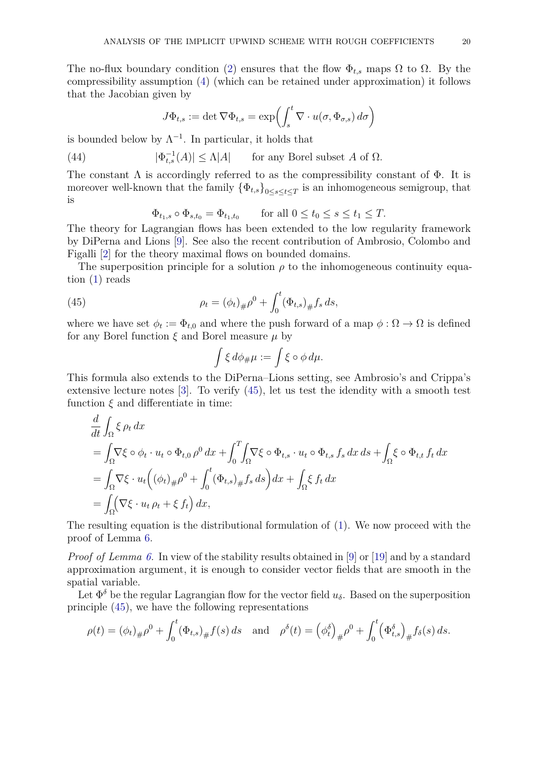The no-flux boundary condition [\(2\)](#page-1-3) ensures that the flow  $\Phi_{t,s}$  maps  $\Omega$  to  $\Omega$ . By the compressibility assumption [\(4\)](#page-1-2) (which can be retained under approximation) it follows that the Jacobian given by

<span id="page-19-1"></span>
$$
J\Phi_{t,s} := \det \nabla \Phi_{t,s} = \exp\left(\int_s^t \nabla \cdot u(\sigma, \Phi_{\sigma,s}) d\sigma\right)
$$

is bounded below by  $\Lambda^{-1}$ . In particular, it holds that

(44) 
$$
|\Phi_{t,s}^{-1}(A)| \le \Lambda |A| \quad \text{for any Borel subset } A \text{ of } \Omega.
$$

The constant  $\Lambda$  is accordingly referred to as the compressibility constant of  $\Phi$ . It is moreover well-known that the family  $\{\Phi_{t,s}\}_{0\leq s\leq t\leq T}$  is an inhomogeneous semigroup, that is

$$
\Phi_{t_1,s} \circ \Phi_{s,t_0} = \Phi_{t_1,t_0} \qquad \text{for all } 0 \le t_0 \le s \le t_1 \le T.
$$

The theory for Lagrangian flows has been extended to the low regularity framework by DiPerna and Lions [\[9\]](#page-25-0). See also the recent contribution of Ambrosio, Colombo and Figalli [\[2\]](#page-25-8) for the theory maximal flows on bounded domains.

The superposition principle for a solution  $\rho$  to the inhomogeneous continuity equation [\(1\)](#page-0-0) reads

(45) 
$$
\rho_t = (\phi_t)_{\#} \rho^0 + \int_0^t (\Phi_{t,s})_{\#} f_s ds,
$$

where we have set  $\phi_t := \Phi_{t,0}$  and where the push forward of a map  $\phi : \Omega \to \Omega$  is defined for any Borel function *ξ* and Borel measure *µ* by

<span id="page-19-0"></span>
$$
\int \xi \, d\phi_{\#}\mu := \int \xi \circ \phi \, d\mu.
$$

This formula also extends to the DiPerna–Lions setting, see Ambrosio's and Crippa's extensive lecture notes [\[3\]](#page-25-11). To verify [\(45\)](#page-19-0), let us test the idendity with a smooth test function  $\xi$  and differentiate in time:

$$
\frac{d}{dt} \int_{\Omega} \xi \rho_t dx
$$
\n
$$
= \int_{\Omega} \nabla \xi \circ \phi_t \cdot u_t \circ \Phi_{t,0} \rho^0 dx + \int_0^T \int_{\Omega} \nabla \xi \circ \Phi_{t,s} \cdot u_t \circ \Phi_{t,s} f_s dx ds + \int_{\Omega} \xi \circ \Phi_{t,t} f_t dx
$$
\n
$$
= \int_{\Omega} \nabla \xi \cdot u_t \left( (\phi_t)_\# \rho^0 + \int_0^t (\Phi_{t,s})_\# f_s ds \right) dx + \int_{\Omega} \xi f_t dx
$$
\n
$$
= \int_{\Omega} (\nabla \xi \cdot u_t \rho_t + \xi f_t) dx,
$$

The resulting equation is the distributional formulation of [\(1\)](#page-0-0). We now proceed with the proof of Lemma [6.](#page-14-3)

*Proof of Lemma [6.](#page-14-3)* In view of the stability results obtained in [\[9\]](#page-25-0) or [\[19\]](#page-26-7) and by a standard approximation argument, it is enough to consider vector fields that are smooth in the spatial variable.

Let  $\Phi^{\delta}$  be the regular Lagrangian flow for the vector field  $u_{\delta}$ . Based on the superposition principle [\(45\)](#page-19-0), we have the following representations

$$
\rho(t) = (\phi_t)_{\#}\rho^0 + \int_0^t (\Phi_{t,s})_{\#} f(s) \, ds \quad \text{and} \quad \rho^{\delta}(t) = (\phi_t^{\delta})_{\#}\rho^0 + \int_0^t (\Phi_{t,s}^{\delta})_{\#} f_{\delta}(s) \, ds.
$$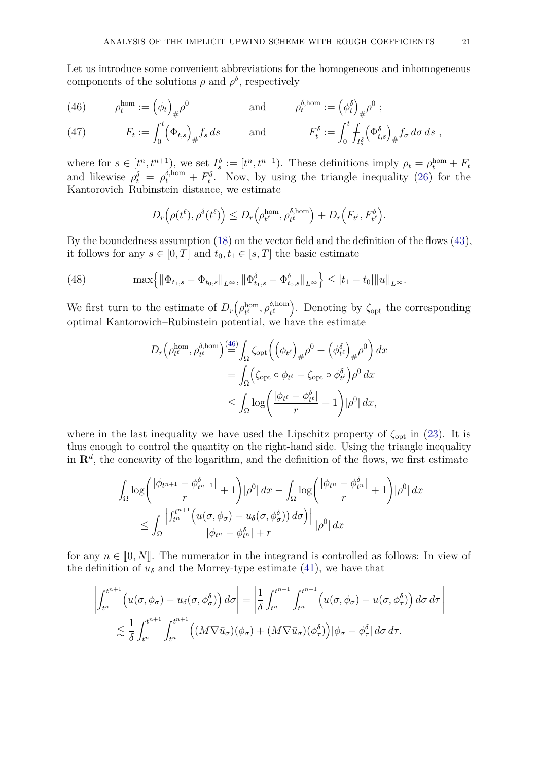Let us introduce some convenient abbreviations for the homogeneous and inhomogeneous components of the solutions  $\rho$  and  $\rho^{\delta}$ , respectively

<span id="page-20-0"></span>(46) 
$$
\rho_t^{\text{hom}} := \left(\phi_t\right)_{\#}\rho^0 \quad \text{and} \quad \rho_t^{\delta, \text{hom}} := \left(\phi_t^{\delta}\right)_{\#}\rho^0 ;
$$

<span id="page-20-2"></span>(47) 
$$
F_t := \int_0^t (\Phi_{t,s})_{\#} f_s ds \quad \text{and} \quad F_t^{\delta} := \int_0^t \int_{I_s^{\delta}} (\Phi_{t,s}^{\delta})_{\#} f_{\sigma} d\sigma ds,
$$

where for  $s \in [t^n, t^{n+1}]$ , we set  $I_s^{\delta} := [t^n, t^{n+1}]$ . These definitions imply  $\rho_t = \rho_t^{\text{hom}} + F_t$ and likewise  $\rho_t^{\delta} = \rho_t^{\delta, \text{hom}} + F_t^{\delta}$ . Now, by using the triangle inequality [\(26\)](#page-7-6) for the Kantorovich–Rubinstein distance, we estimate

$$
D_r(\rho(t^{\ell}), \rho^{\delta}(t^{\ell})) \le D_r(\rho_{t^{\ell}}^{\text{hom}}, \rho_{t^{\ell}}^{\delta, \text{hom}}) + D_r(F_{t^{\ell}}, F_{t^{\ell}}^{\delta}).
$$

By the boundedness assumption [\(18\)](#page-5-3) on the vector field and the definition of the flows [\(43\)](#page-18-0), it follows for any  $s \in [0, T]$  and  $t_0, t_1 \in [s, T]$  the basic estimate

<span id="page-20-1"></span>(48) 
$$
\max\left\{\left\|\Phi_{t_1,s}-\Phi_{t_0,s}\right\|_{L^{\infty}},\left\|\Phi_{t_1,s}^{\delta}-\Phi_{t_0,s}^{\delta}\right\|_{L^{\infty}}\right\} \leq |t_1-t_0|\|u\|_{L^{\infty}}.
$$

We first turn to the estimate of  $D_r(\rho_{t^{\ell}}^{\text{hom}})$  $\theta_t^{\text{hom}}, \rho_{t^{\ell}}^{\delta, \text{hom}}$  $\begin{bmatrix} \delta, \text{hom} \\ t^{\ell} \end{bmatrix}$ . Denoting by  $\zeta_{\text{opt}}$  the corresponding optimal Kantorovich–Rubinstein potential, we have the estimate

$$
D_r \left(\rho_{t^\ell}^{\text{hom}}, \rho_{t^\ell}^{\delta, \text{hom}}\right) \stackrel{(46)}{=} \int_{\Omega} \zeta_{\text{opt}} \left( \left(\phi_{t^\ell}\right)_\# \rho^0 - \left(\phi_{t^\ell}^{\delta}\right)_\# \rho^0 \right) dx
$$
  

$$
= \int_{\Omega} \left( \zeta_{\text{opt}} \circ \phi_{t^\ell} - \zeta_{\text{opt}} \circ \phi_{t^\ell}^{\delta} \right) \rho^0 dx
$$
  

$$
\leq \int_{\Omega} \log \left( \frac{|\phi_{t^\ell} - \phi_{t^\ell}^{\delta}|}{r} + 1 \right) |\rho^0| dx,
$$

where in the last inequality we have used the Lipschitz property of  $\zeta_{opt}$  in [\(23\)](#page-7-1). It is thus enough to control the quantity on the right-hand side. Using the triangle inequality in  $\mathbf{R}^d$ , the concavity of the logarithm, and the definition of the flows, we first estimate

$$
\int_{\Omega} \log \left( \frac{|\phi_{t^{n+1}} - \phi_{t^{n+1}}^{\delta}|}{r} + 1 \right) |\rho^0| dx - \int_{\Omega} \log \left( \frac{|\phi_{t^n} - \phi_{t^n}^{\delta}|}{r} + 1 \right) |\rho^0| dx
$$
  

$$
\leq \int_{\Omega} \frac{\left| \int_{t^n}^{t^{n+1}} \left( u(\sigma, \phi_{\sigma}) - u_{\delta}(\sigma, \phi_{\sigma}^{\delta}) \right) d\sigma \right) \right|}{|\phi_{t^n} - \phi_{t^n}^{\delta}| + r} |\rho^0| dx
$$

for any  $n \in [0, N]$ . The numerator in the integrand is controlled as follows: In view of the definition of  $u_{\delta}$  and the Morrey-type estimate [\(41\)](#page-17-1), we have that

$$
\left| \int_{t^n}^{t^{n+1}} \left( u(\sigma, \phi_\sigma) - u_\delta(\sigma, \phi_\sigma^\delta) \right) d\sigma \right| = \left| \frac{1}{\delta} \int_{t^n}^{t^{n+1}} \int_{t^n}^{t^{n+1}} \left( u(\sigma, \phi_\sigma) - u(\sigma, \phi_\tau^\delta) \right) d\sigma d\tau \right|
$$
  

$$
\lesssim \frac{1}{\delta} \int_{t^n}^{t^{n+1}} \int_{t^n}^{t^{n+1}} \left( (M \nabla \bar{u}_\sigma)(\phi_\sigma) + (M \nabla \bar{u}_\sigma)(\phi_\tau^\delta) \right) |\phi_\sigma - \phi_\tau^\delta| d\sigma d\tau.
$$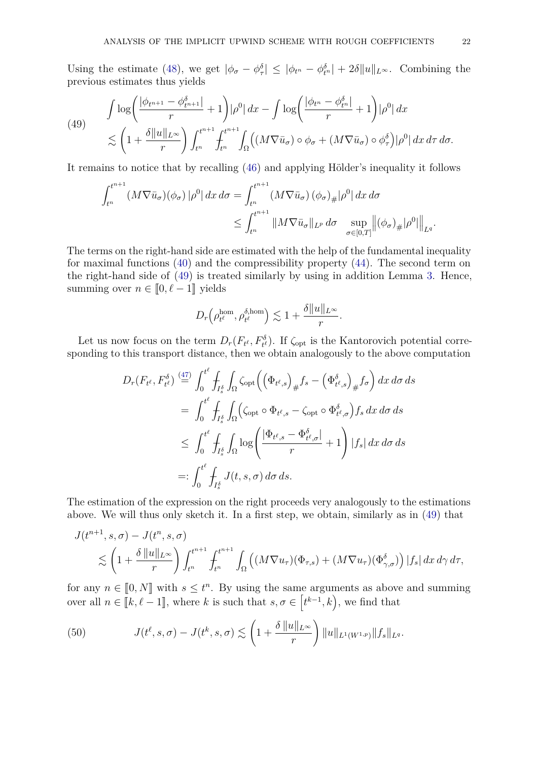Using the estimate [\(48\)](#page-20-1), we get  $|\phi_{\sigma} - \phi_{\tau}^{\delta}| \leq |\phi_{t^n} - \phi_{t^n}^{\delta}| + 2\delta ||u||_{L^{\infty}}$ . Combining the previous estimates thus yields

<span id="page-21-0"></span>(49) 
$$
\int \log \left( \frac{|\phi_{t^{n+1}} - \phi_{t^{n+1}}^{\delta}|}{r} + 1 \right) |\rho^0| dx - \int \log \left( \frac{|\phi_{t^n} - \phi_{t^n}^{\delta}|}{r} + 1 \right) |\rho^0| dx
$$
  

$$
\lesssim \left( 1 + \frac{\delta ||u||_{L^{\infty}}}{r} \right) \int_{t^n}^{t^{n+1}} \int_{t^n}^{t^{n+1}} \int_{\Omega} \left( (M \nabla \bar{u}_{\sigma}) \circ \phi_{\sigma} + (M \nabla \bar{u}_{\sigma}) \circ \phi_{\tau}^{\delta} \right) |\rho^0| dx d\tau d\sigma.
$$

It remains to notice that by recalling [\(46\)](#page-20-0) and applying Hölder's inequality it follows

$$
\int_{t^n}^{t^{n+1}} (M\nabla \bar{u}_{\sigma})(\phi_{\sigma}) |\rho^0| dx d\sigma = \int_{t^n}^{t^{n+1}} (M\nabla \bar{u}_{\sigma})(\phi_{\sigma})_{\#} |\rho^0| dx d\sigma
$$
  

$$
\leq \int_{t^n}^{t^{n+1}} \|M\nabla \bar{u}_{\sigma}\|_{L^p} d\sigma \sup_{\sigma \in [0,T]} \|(\phi_{\sigma})_{\#} |\rho^0| \|_{L^q}.
$$

The terms on the right-hand side are estimated with the help of the fundamental inequality for maximal functions [\(40\)](#page-17-0) and the compressibility property [\(44\)](#page-19-1). The second term on the right-hand side of [\(49\)](#page-21-0) is treated similarly by using in addition Lemma [3.](#page-12-1) Hence, summing over  $n \in [0, \ell - 1]$  yields

$$
D_r\left(\rho_{t\ell}^{\text{hom}},\rho_{t\ell}^{\delta,\text{hom}}\right) \lesssim 1 + \frac{\delta \|u\|_{L^\infty}}{r}.
$$

Let us now focus on the term  $D_r(F_{t^{\ell}}, F_{t^{\ell}}^{\delta})$ . If  $\zeta_{\text{opt}}$  is the Kantorovich potential corresponding to this transport distance, then we obtain analogously to the above computation

$$
D_r(F_{t^{\ell}}, F_{t^{\ell}}^{\delta}) \stackrel{(47)}{=} \int_0^{t^{\ell}} \int_{I_s^{\delta}} \int_{\Omega} \zeta_{\text{opt}} \Big( \Big( \Phi_{t^{\ell}, s} \Big)_{\#} f_s - \Big( \Phi_{t^{\ell}, s}^{\delta} \Big)_{\#} f_{\sigma} \Big) \, dx \, d\sigma \, ds
$$
  
\n
$$
= \int_0^{t^{\ell}} \int_{I_s^{\delta}} \int_{\Omega} \Big( \zeta_{\text{opt}} \circ \Phi_{t^{\ell}, s} - \zeta_{\text{opt}} \circ \Phi_{t^{\ell}, \sigma}^{\delta} \Big) f_s \, dx \, d\sigma \, ds
$$
  
\n
$$
\leq \int_0^{t^{\ell}} \int_{I_s^{\delta}} \int_{\Omega} \log \Big( \frac{|\Phi_{t^{\ell}, s} - \Phi_{t^{\ell}, \sigma}^{\delta}|}{r} + 1 \Big) \, |f_s| \, dx \, d\sigma \, ds
$$
  
\n
$$
=: \int_0^{t^{\ell}} \int_{I_s^{\delta}} J(t, s, \sigma) \, d\sigma \, ds.
$$

The estimation of the expression on the right proceeds very analogously to the estimations above. We will thus only sketch it. In a first step, we obtain, similarly as in [\(49\)](#page-21-0) that

$$
J(t^{n+1}, s, \sigma) - J(t^n, s, \sigma)
$$
  
\$\lesssim \left(1 + \frac{\delta ||u||\_{L^{\infty}}}{r}\right) \int\_{t^n}^{t^{n+1}} \int\_{t^n}^{t^{n+1}} \int\_{\Omega} \left( (M \nabla u\_{\tau})(\Phi\_{\tau,s}) + (M \nabla u\_{\tau})(\Phi\_{\gamma,\sigma}^{\delta}) \right) |f\_s| dx d\gamma d\tau,

for any  $n \in [0, N]$  with  $s \leq t^n$ . By using the same arguments as above and summing over all  $n \in [\![k, \ell-1]\!]$ , where  $k$  is such that  $s, \sigma \in [t^{k-1}, k)$ , we find that

<span id="page-21-1"></span>(50) 
$$
J(t^{\ell}, s, \sigma) - J(t^{k}, s, \sigma) \lesssim \left(1 + \frac{\delta ||u||_{L^{\infty}}}{r}\right) ||u||_{L^{1}(W^{1,p})} ||f_{s}||_{L^{q}}.
$$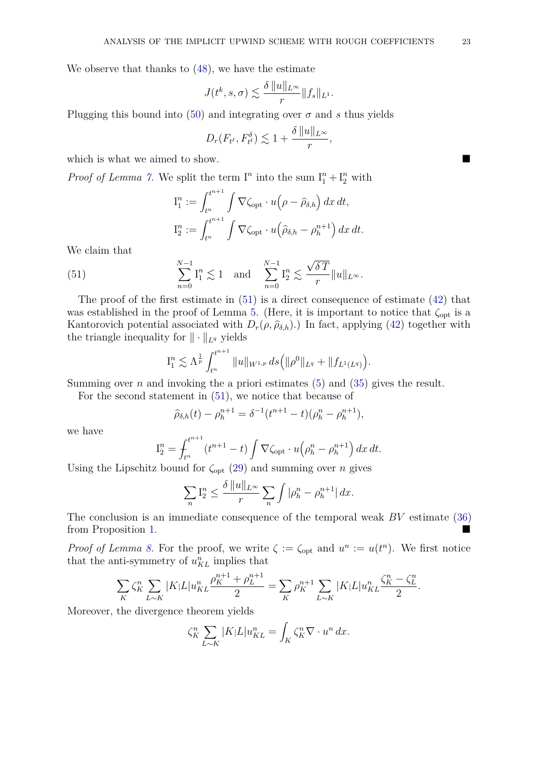We observe that thanks to [\(48\)](#page-20-1), we have the estimate

$$
J(t^k, s, \sigma) \lesssim \frac{\delta ||u||_{L^{\infty}}}{r} ||f_s||_{L^1}.
$$

Plugging this bound into [\(50\)](#page-21-1) and integrating over  $\sigma$  and *s* thus yields

$$
D_r(F_{t^{\ell}}, F_{t^{\ell}}^{\delta}) \lesssim 1 + \frac{\delta ||u||_{L^{\infty}}}{r},
$$

which is what we aimed to show.

*Proof of Lemma [7.](#page-16-2)* We split the term  $I^n$  into the sum  $I_1^n + I_2^n$  with

<span id="page-22-0"></span>
$$
I_1^n := \int_{t^n}^{t^{n+1}} \int \nabla \zeta_{\text{opt}} \cdot u\left(\rho - \widehat{\rho}_{\delta,h}\right) dx dt,
$$
  

$$
I_2^n := \int_{t^n}^{t^{n+1}} \int \nabla \zeta_{\text{opt}} \cdot u\left(\widehat{\rho}_{\delta,h} - \rho_h^{n+1}\right) dx dt.
$$

We claim that

(51) 
$$
\sum_{n=0}^{N-1} \mathbf{I}_1^n \lesssim 1 \quad \text{and} \quad \sum_{n=0}^{N-1} \mathbf{I}_2^n \lesssim \frac{\sqrt{\delta T}}{r} ||u||_{L^{\infty}}.
$$

The proof of the first estimate in [\(51\)](#page-22-0) is a direct consequence of estimate [\(42\)](#page-17-2) that was established in the proof of Lemma [5.](#page-14-2) (Here, it is important to notice that  $\zeta_{opt}$  is a Kantorovich potential associated with  $D_r(\rho, \hat{\rho}_{\delta,h})$ .) In fact, applying [\(42\)](#page-17-2) together with the triangle inequality for  $\|\cdot\|_{L^q}$  yields

$$
\mathrm{I}_1^n \lesssim \Lambda^{\frac{1}{p}} \int_{t^n}^{t^{n+1}} \|u\|_{W^{1,p}} ds \Big( \|\rho^0\|_{L^q} + \|f_{L^1(L^q)} \Big).
$$

Summing over *n* and invoking the a priori estimates  $(5)$  and  $(35)$  gives the result.

For the second statement in [\(51\)](#page-22-0), we notice that because of

$$
\widehat{\rho}_{\delta,h}(t) - \rho_h^{n+1} = \delta^{-1}(t^{n+1} - t)(\rho_h^n - \rho_h^{n+1}),
$$

we have

$$
I_2^n = \int_{t^n}^{t^{n+1}} (t^{n+1} - t) \int \nabla \zeta_{\text{opt}} \cdot u \left(\rho_h^n - \rho_h^{n+1}\right) dx dt.
$$

Using the Lipschitz bound for *ζ*opt [\(29\)](#page-8-4) and summing over *n* gives

$$
\sum_n \mathcal{I}_2^n \le \frac{\delta \, \|u\|_{L^\infty}}{r} \sum_n \int |\rho_h^n - \rho_h^{n+1}| \, dx.
$$

The conclusion is an immediate consequence of the temporal weak *BV* estimate [\(36\)](#page-13-2) from Proposition [1.](#page-13-0)

*Proof of Lemma [8.](#page-16-3)* For the proof, we write  $\zeta := \zeta_{opt}$  and  $u^n := u(t^n)$ . We first notice that the anti-symmetry of  $u_{KL}^n$  implies that

$$
\sum_{K} \zeta_K^n \sum_{L \sim K} |K| L |u_{KL}^n \frac{\rho_K^{n+1} + \rho_L^{n+1}}{2} = \sum_{K} \rho_K^{n+1} \sum_{L \sim K} |K| L |u_{KL}^n \frac{\zeta_K^n - \zeta_L^n}{2}.
$$

Moreover, the divergence theorem yields

$$
\zeta_K^n \sum_{L \sim K} |K| L |u_{KL}^n = \int_K \zeta_K^n \nabla \cdot u^n \, dx.
$$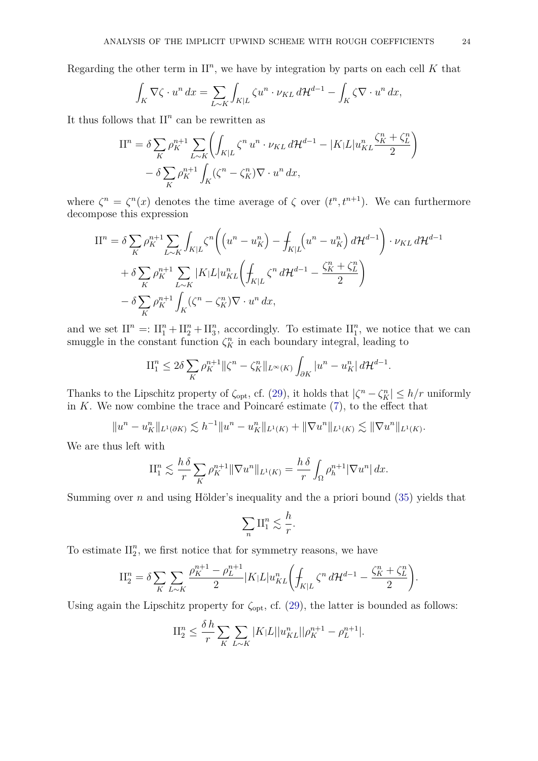Regarding the other term in  $II<sup>n</sup>$ , we have by integration by parts on each cell  $K$  that

$$
\int_K \nabla \zeta \cdot u^n \, dx = \sum_{L \sim K} \int_{K|L} \zeta u^n \cdot \nu_{KL} \, d\mathcal{H}^{d-1} - \int_K \zeta \nabla \cdot u^n \, dx,
$$

It thus follows that  $II<sup>n</sup>$  can be rewritten as

$$
\begin{split} \mathcal{II}^{n} &= \delta \sum_{K} \rho_{K}^{n+1} \sum_{L \sim K} \left( \int_{K|L} \zeta^{n} \, u^{n} \cdot \nu_{KL} \, d\mathcal{H}^{d-1} - |K| L |u_{KL}^{n} \frac{\zeta_{K}^{n} + \zeta_{L}^{n}}{2} \right) \\ &- \delta \sum_{K} \rho_{K}^{n+1} \int_{K} (\zeta^{n} - \zeta_{K}^{n}) \nabla \cdot u^{n} \, dx, \end{split}
$$

where  $\zeta^n = \zeta^n(x)$  denotes the time average of  $\zeta$  over  $(t^n, t^{n+1})$ . We can furthermore decompose this expression

$$
\begin{split} \Pi^n &= \delta \sum_K \rho_K^{n+1} \sum_{L \sim K} \int_{K|L} \zeta^n \bigg( \big( u^n - u_K^n \big) - \int_{K|L} \big( u^n - u_K^n \big) \, d\mathcal{H}^{d-1} \big) \cdot \nu_{KL} \, d\mathcal{H}^{d-1} \\ &+ \delta \sum_K \rho_K^{n+1} \sum_{L \sim K} |K| L |u_{KL}^n \big( \int_{K|L} \zeta^n \, d\mathcal{H}^{d-1} - \frac{\zeta_K^n + \zeta_L^n}{2} \big) \\ &- \delta \sum_K \rho_K^{n+1} \int_K (\zeta^n - \zeta_K^n) \nabla \cdot u^n \, dx, \end{split}
$$

and we set  $II^n =: II_1^n + II_2^n + II_3^n$ , accordingly. To estimate  $II_1^n$ , we notice that we can smuggle in the constant function  $\zeta_K^n$  in each boundary integral, leading to

$$
\mathrm{II}_1^n \le 2\delta \sum_K \rho_K^{n+1} \|\zeta^n - \zeta_K^n\|_{L^\infty(K)} \int_{\partial K} |u^n - u_K^n| \, d\mathcal{H}^{d-1}.
$$

Thanks to the Lipschitz property of  $\zeta_{\text{opt}}$ , cf. [\(29\)](#page-8-4), it holds that  $|\zeta^n - \zeta_K^n| \leq h/r$  uniformly in *K*. We now combine the trace and Poincaré estimate [\(7\)](#page-3-1), to the effect that

$$
||u^n - u_K^n||_{L^1(\partial K)} \lesssim h^{-1}||u^n - u_K^n||_{L^1(K)} + ||\nabla u^n||_{L^1(K)} \lesssim ||\nabla u^n||_{L^1(K)}.
$$

We are thus left with

$$
\Pi_1^n \lesssim \frac{h \delta}{r} \sum_K \rho_K^{n+1} \|\nabla u^n\|_{L^1(K)} = \frac{h \delta}{r} \int_{\Omega} \rho_h^{n+1} |\nabla u^n| \, dx.
$$

Summing over *n* and using Hölder's inequality and the a priori bound [\(35\)](#page-12-2) yields that

$$
\sum_n \Pi_1^n \lesssim \frac{h}{r}.
$$

To estimate  $\prod_{2}^{n}$ , we first notice that for symmetry reasons, we have

$$
\Pi_2^n = \delta \sum_K \sum_{L \sim K} \frac{\rho_K^{n+1} - \rho_L^{n+1}}{2} |K| L |u_{KL}^n \left( \int_{K|L} \zeta^n \, d\mathcal{H}^{d-1} - \frac{\zeta_K^n + \zeta_L^n}{2} \right).
$$

Using again the Lipschitz property for  $\zeta_{\rm opt}$ , cf. [\(29\)](#page-8-4), the latter is bounded as follows:

$$
\mathcal{H}_2^n \leq \frac{\delta \, h}{r} \sum_{K} \sum_{L \sim K} |K| L ||u_{KL}^n|| \rho_K^{n+1} - \rho_L^{n+1}|.
$$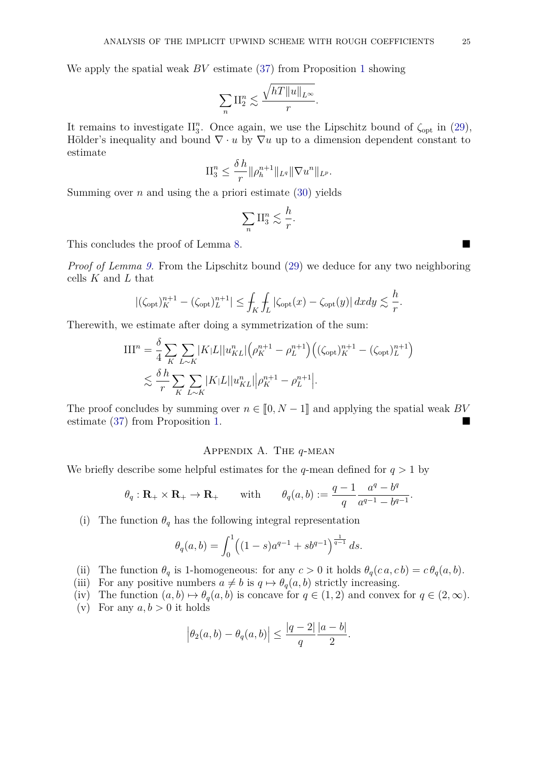We apply the spatial weak *BV* estimate [\(37\)](#page-13-1) from Proposition [1](#page-13-0) showing

$$
\sum_n \Pi_2^n \lesssim \frac{\sqrt{hT \|u\|_{L^{\infty}}}}{r}.
$$

It remains to investigate  $II_3^n$ . Once again, we use the Lipschitz bound of  $\zeta_{opt}$  in [\(29\)](#page-8-4), Hölder's inequality and bound  $\nabla \cdot u$  by  $\nabla u$  up to a dimension dependent constant to estimate

$$
\Pi_3^n \le \frac{\delta h}{r} \|\rho_h^{n+1}\|_{L^q} \|\nabla u^n\|_{L^p}.
$$

Summing over *n* and using the a priori estimate  $(30)$  yields

$$
\sum_n \Pi_3^n \lesssim \frac{h}{r}.
$$

This concludes the proof of Lemma [8.](#page-16-3)

*Proof of Lemma [9.](#page-16-1)* From the Lipschitz bound [\(29\)](#page-8-4) we deduce for any two neighboring cells *K* and *L* that

$$
|(\zeta_{\rm opt})_K^{n+1} - (\zeta_{\rm opt})_L^{n+1}| \le \int_K \int_L |\zeta_{\rm opt}(x) - \zeta_{\rm opt}(y)| \, dx dy \lesssim \frac{h}{r}.
$$

Therewith, we estimate after doing a symmetrization of the sum:

$$
\begin{split} III^n &= \frac{\delta}{4} \sum_{K} \sum_{L \sim K} |K|L| |u_{KL}^n| \left( \rho_K^{n+1} - \rho_L^{n+1} \right) \left( (\zeta_{\text{opt}})_K^{n+1} - (\zeta_{\text{opt}})_L^{n+1} \right) \\ &\lesssim \frac{\delta \, h}{r} \sum_{K} \sum_{L \sim K} |K|L| |u_{KL}^n| \left| \rho_K^{n+1} - \rho_L^{n+1} \right|. \end{split}
$$

The proof concludes by summing over  $n \in [0, N-1]$  and applying the spatial weak *BV* estimate [\(37\)](#page-13-1) from Proposition [1.](#page-13-0)

# Appendix A. The *q*-mean

<span id="page-24-0"></span>We briefly describe some helpful estimates for the *q*-mean defined for  $q > 1$  by

$$
\theta_q : \mathbf{R}_+ \times \mathbf{R}_+ \to \mathbf{R}_+
$$
 with  $\theta_q(a, b) := \frac{q-1}{q} \frac{a^q - b^q}{a^{q-1} - b^{q-1}}.$ 

(i) The function  $\theta_q$  has the following integral representation

$$
\theta_q(a,b) = \int_0^1 \left( (1-s)a^{q-1} + sb^{q-1} \right)^{\frac{1}{q-1}} ds.
$$

- (ii) The function  $\theta_q$  is 1-homogeneous: for any  $c > 0$  it holds  $\theta_q(c \, a, c \, b) = c \, \theta_q(a, b)$ .
- (iii) For any positive numbers  $a \neq b$  is  $q \mapsto \theta_q(a, b)$  strictly increasing.

(iv) The function  $(a, b) \mapsto \theta_q(a, b)$  is concave for  $q \in (1, 2)$  and convex for  $q \in (2, \infty)$ . (v) For any  $a, b > 0$  it holds

$$
\left|\theta_2(a,b) - \theta_q(a,b)\right| \le \frac{|q-2|}{q} \frac{|a-b|}{2}.
$$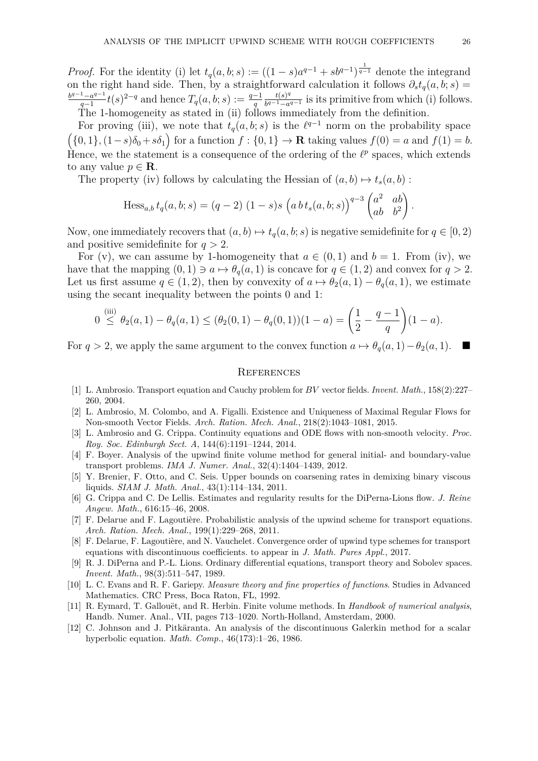*Proof.* For the identity (i) let  $t_q(a, b; s) := ((1 - s)a^{q-1} + sb^{q-1})^{\frac{1}{q-1}}$  denote the integrand on the right hand side. Then, by a straightforward calculation it follows  $\partial_s t_q(a, b; s) =$ *b <sup>q</sup>*−1−*a q*−1 *t*<sub>*q*</sub>−1</sub> *t*(*s*)<sup>2−*q*</sup> and hence  $T_q(a, b; s) := \frac{q-1}{q}$  $t(s)^q$  $\frac{t(s)^q}{b^{q-1}-a^{q-1}}$  is its primitive from which (i) follows. The 1-homogeneity as stated in (ii) follows immediately from the definition.

For proving (iii), we note that  $t_q(a, b; s)$  is the  $\ell^{q-1}$  norm on the probability space  $($ {0*,* 1}*,*(1*−s*) $\delta_0 + s\delta_1$ } for a function  $f :$ {0*,* 1} → **R** taking values  $f(0) = a$  and  $f(1) = b$ . Hence, we the statement is a consequence of the ordering of the  $\ell^p$  spaces, which extends to any value  $p \in \mathbf{R}$ .

The property (iv) follows by calculating the Hessian of  $(a, b) \mapsto t_s(a, b)$ :

Hess<sub>a,b</sub> 
$$
t_q(a, b; s) = (q - 2) (1 - s)s (a b t_s(a, b; s))^{q-3} {a^2 \ ab \ b^2}
$$

Now, one immediately recovers that  $(a, b) \mapsto t_q(a, b; s)$  is negative semidefinite for  $q \in [0, 2)$ and positive semidefinite for *q >* 2.

For (v), we can assume by 1-homogeneity that  $a \in (0,1)$  and  $b = 1$ . From (iv), we have that the mapping  $(0, 1) \ni a \mapsto \theta_q(a, 1)$  is concave for  $q \in (1, 2)$  and convex for  $q > 2$ . Let us first assume  $q \in (1, 2)$ , then by convexity of  $a \mapsto \theta_2(a, 1) - \theta_q(a, 1)$ , we estimate using the secant inequality between the points 0 and 1:

$$
0 \stackrel{\text{(iii)}}{\leq} \theta_2(a,1) - \theta_q(a,1) \leq (\theta_2(0,1) - \theta_q(0,1))(1-a) = \left(\frac{1}{2} - \frac{q-1}{q}\right)(1-a).
$$

For  $q > 2$ , we apply the same argument to the convex function  $a \mapsto \theta_q(a, 1) - \theta_2(a, 1)$ .

### **REFERENCES**

- <span id="page-25-1"></span>[1] L. Ambrosio. Transport equation and Cauchy problem for *BV* vector fields. *Invent. Math.*, 158(2):227– 260, 2004.
- <span id="page-25-8"></span>[2] L. Ambrosio, M. Colombo, and A. Figalli. Existence and Uniqueness of Maximal Regular Flows for Non-smooth Vector Fields. *Arch. Ration. Mech. Anal.*, 218(2):1043–1081, 2015.
- <span id="page-25-11"></span>[3] L. Ambrosio and G. Crippa. Continuity equations and ODE flows with non-smooth velocity. *Proc. Roy. Soc. Edinburgh Sect. A*, 144(6):1191–1244, 2014.
- <span id="page-25-5"></span>[4] F. Boyer. Analysis of the upwind finite volume method for general initial- and boundary-value transport problems. *IMA J. Numer. Anal.*, 32(4):1404–1439, 2012.
- <span id="page-25-10"></span>[5] Y. Brenier, F. Otto, and C. Seis. Upper bounds on coarsening rates in demixing binary viscous liquids. *SIAM J. Math. Anal.*, 43(1):114–134, 2011.
- <span id="page-25-9"></span>[6] G. Crippa and C. De Lellis. Estimates and regularity results for the DiPerna-Lions flow. *J. Reine Angew. Math.*, 616:15–46, 2008.
- <span id="page-25-3"></span>[7] F. Delarue and F. Lagoutière. Probabilistic analysis of the upwind scheme for transport equations. *Arch. Ration. Mech. Anal.*, 199(1):229–268, 2011.
- <span id="page-25-4"></span>[8] F. Delarue, F. Lagoutière, and N. Vauchelet. Convergence order of upwind type schemes for transport equations with discontinuous coefficients. to appear in *J. Math. Pures Appl.*, 2017.
- <span id="page-25-0"></span>[9] R. J. DiPerna and P.-L. Lions. Ordinary differential equations, transport theory and Sobolev spaces. *Invent. Math.*, 98(3):511–547, 1989.
- <span id="page-25-7"></span>[10] L. C. Evans and R. F. Gariepy. *Measure theory and fine properties of functions*. Studies in Advanced Mathematics. CRC Press, Boca Raton, FL, 1992.
- <span id="page-25-6"></span>[11] R. Eymard, T. Gallouët, and R. Herbin. Finite volume methods. In *Handbook of numerical analysis*, Handb. Numer. Anal., VII, pages 713–1020. North-Holland, Amsterdam, 2000.
- <span id="page-25-2"></span>[12] C. Johnson and J. Pitkäranta. An analysis of the discontinuous Galerkin method for a scalar hyperbolic equation. *Math. Comp.*, 46(173):1–26, 1986.

*.*